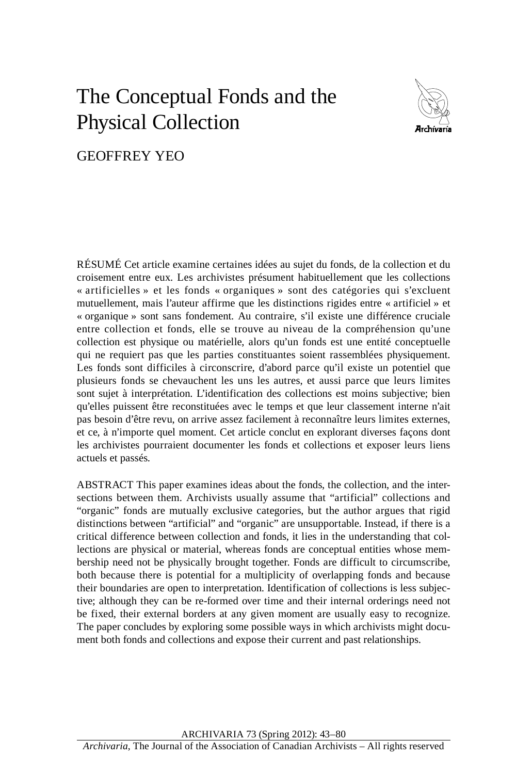# The Conceptual Fonds and the Physical Collection



GEOFFREY YEO

 croisement entre eux. Les archivistes présument habituellement que les collections « artificielles » et les fonds « organiques » sont des catégories qui s'excluent mutuellement, mais l'auteur affirme que les distinctions rigides entre « artificiel » et « organique » sont sans fondement. Au contraire, s'il existe une différence cruciale entre collection et fonds, elle se trouve au niveau de la compréhension qu'une collection est physique ou matérielle, alors qu'un fonds est une entité conceptuelle qui ne requiert pas que les parties constituantes soient rassemblées physiquement. Les fonds sont difficiles à circonscrire, d'abord parce qu'il existe un potentiel que plusieurs fonds se chevauchent les uns les autres, et aussi parce que leurs limites les archivistes pourraient documenter les fonds et collections et exposer leurs liens RÉSUMÉ Cet article examine certaines idées au sujet du fonds, de la collection et du sont sujet à interprétation. L'identification des collections est moins subjective; bien qu'elles puissent être reconstituées avec le temps et que leur classement interne n'ait pas besoin d'être revu, on arrive assez facilement à reconnaître leurs limites externes, et ce, à n'importe quel moment. Cet article conclut en explorant diverses façons dont actuels et passés.

 sections between them. Archivists usually assume that "artificial" collections and "organic" fonds are mutually exclusive categories, but the author argues that rigid both because there is potential for a multiplicity of overlapping fonds and because ABSTRACT This paper examines ideas about the fonds, the collection, and the interdistinctions between "artificial" and "organic" are unsupportable. Instead, if there is a critical difference between collection and fonds, it lies in the understanding that collections are physical or material, whereas fonds are conceptual entities whose membership need not be physically brought together. Fonds are difficult to circumscribe, their boundaries are open to interpretation. Identification of collections is less subjective; although they can be re-formed over time and their internal orderings need not be fixed, their external borders at any given moment are usually easy to recognize. The paper concludes by exploring some possible ways in which archivists might document both fonds and collections and expose their current and past relationships.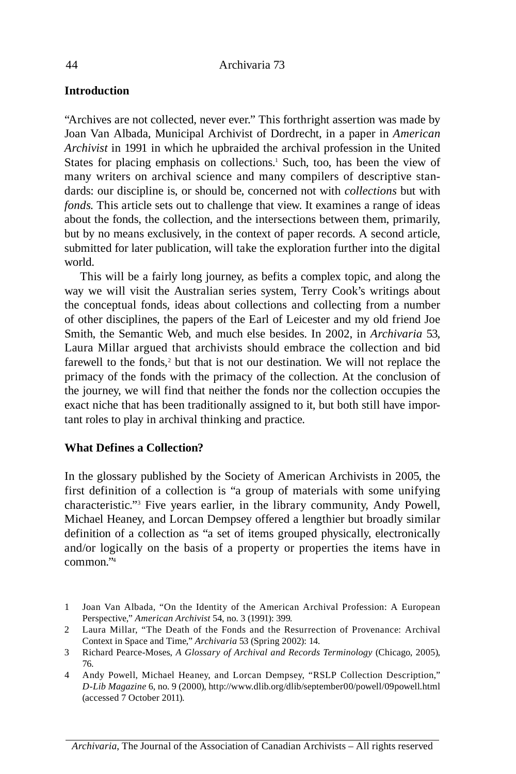# **Introduction**

 "Archives are not collected, never ever." This forthright assertion was made by Joan van Albada, Municipal Archivist of Dordrecht, in a paper in *American Archivist* in 1991 in which he upbraided the archival profession in the United States for placing emphasis on collections.<sup>1</sup> Such, too, has been the view of many writers on archival science and many compilers of descriptive stan- dards: our discipline is, or should be, concerned not with *collections* but with *fonds*. This article sets out to challenge that view. It examines a range of ideas about the fonds, the collection, and the intersections between them, primarily, but by no means exclusively, in the context of paper records. A second article, submitted for later publication, will take the exploration further into the digital world.

 way we will visit the Australian series system, Terry Cook's writings about the conceptual fonds, ideas about collections and collecting from a number Laura Millar argued that archivists should embrace the collection and bid This will be a fairly long journey, as befits a complex topic, and along the of other disciplines, the papers of the Earl of Leicester and my old friend Joe Smith, the Semantic Web, and much else besides. In 2002, in *Archivaria* 53, farewell to the fonds, $2$  but that is not our destination. We will not replace the primacy of the fonds with the primacy of the collection. At the conclusion of the journey, we will find that neither the fonds nor the collection occupies the exact niche that has been traditionally assigned to it, but both still have important roles to play in archival thinking and practice.

# **What Defines a Collection?**

 first definition of a collection is "a group of materials with some unifying characteristic."3 Five years earlier, in the library community, Andy Powell, and/or logically on the basis of a property or properties the items have in In the glossary published by the Society of American Archivists in 2005, the Michael heaney, and Lorcan Dempsey offered a lengthier but broadly similar definition of a collection as "a set of items grouped physically, electronically common."4

- 1 Joan van Albada, "On the Identity of the American Archival Profession: A European Perspective," *American Archivist* 54, no. 3 (1991): 399.
- 2 Laura Millar, "The Death of the Fonds and the Resurrection of Provenance: Archival Context in Space and Time," *Archivaria* 53 (Spring 2002): 14.
- 3 Richard Pearce-Moses, *A Glossary of Archival and Records Terminology* (Chicago, 2005), 76.
- 4 Andy Powell, Michael heaney, and Lorcan Dempsey, "RSLP Collection Description," *D-Lib Magazine* 6, no. 9 (2000), http://www.dlib.org/dlib/september00/powell/09powell.html (accessed 7 October 2011).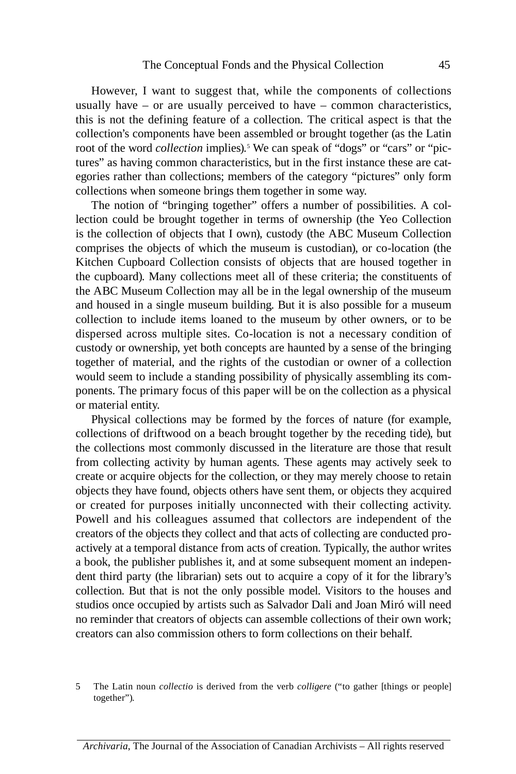however, I want to suggest that, while the components of collections usually have – or are usually perceived to have – common characteristics, root of the word *collection* implies).5 We can speak of "dogs" or "cars" or "picthis is not the defining feature of a collection. The critical aspect is that the collection's components have been assembled or brought together (as the Latin tures" as having common characteristics, but in the first instance these are categories rather than collections; members of the category "pictures" only form collections when someone brings them together in some way.

 Kitchen Cupboard Collection consists of objects that are housed together in collection to include items loaned to the museum by other owners, or to be dispersed across multiple sites. Co-location is not a necessary condition of The notion of "bringing together" offers a number of possibilities. A collection could be brought together in terms of ownership (the Yeo Collection is the collection of objects that I own), custody (the ABC Museum Collection comprises the objects of which the museum is custodian), or co-location (the the cupboard). Many collections meet all of these criteria; the constituents of the ABC Museum Collection may all be in the legal ownership of the museum and housed in a single museum building. But it is also possible for a museum custody or ownership, yet both concepts are haunted by a sense of the bringing together of material, and the rights of the custodian or owner of a collection would seem to include a standing possibility of physically assembling its components. The primary focus of this paper will be on the collection as a physical or material entity.

 Physical collections may be formed by the forces of nature (for example, collections of driftwood on a beach brought together by the receding tide), but the collections most commonly discussed in the literature are those that result from collecting activity by human agents. These agents may actively seek to create or acquire objects for the collection, or they may merely choose to retain objects they have found, objects others have sent them, or objects they acquired or created for purposes initially unconnected with their collecting activity. Powell and his colleagues assumed that collectors are independent of the creators of the objects they collect and that acts of collecting are conducted pro- actively at a temporal distance from acts of creation. Typically, the author writes a book, the publisher publishes it, and at some subsequent moment an indepen- dent third party (the librarian) sets out to acquire a copy of it for the library's collection. But that is not the only possible model. visitors to the houses and studios once occupied by artists such as Salvador Dali and Joan Miró will need no reminder that creators of objects can assemble collections of their own work; creators can also commission others to form collections on their behalf.

 The Latin noun *collectio* is derived from the verb *colligere* ("to gather [things or people] together"). 5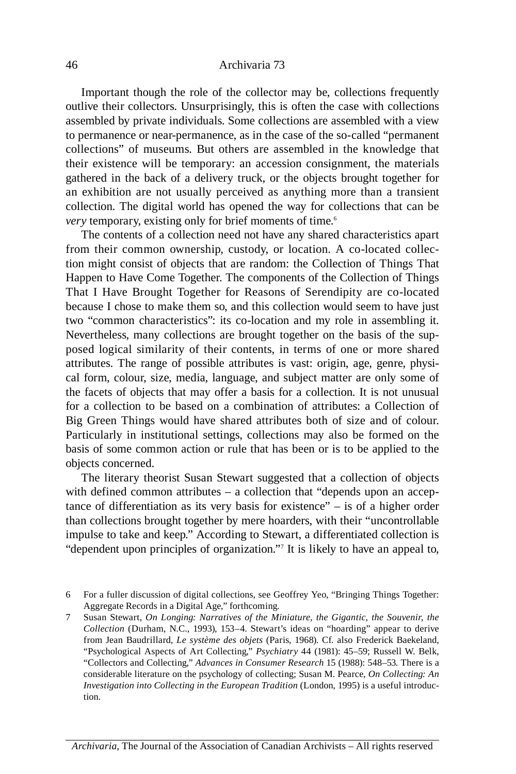collections" of museums. But others are assembled in the knowledge that their existence will be temporary: an accession consignment, the materials an exhibition are not usually perceived as anything more than a transient Important though the role of the collector may be, collections frequently outlive their collectors. Unsurprisingly, this is often the case with collections assembled by private individuals. Some collections are assembled with a view to permanence or near-permanence, as in the case of the so-called "permanent gathered in the back of a delivery truck, or the objects brought together for collection. The digital world has opened the way for collections that can be *very* temporary, existing only for brief moments of time.<sup>6</sup>

 from their common ownership, custody, or location. A co-located collec-That I Have Brought Together for Reasons of Serendipity are co-located two "common characteristics": its co-location and my role in assembling it. posed logical similarity of their contents, in terms of one or more shared attributes. The range of possible attributes is vast: origin, age, genre, physi- for a collection to be based on a combination of attributes: a Collection of Big Green Things would have shared attributes both of size and of colour. Particularly in institutional settings, collections may also be formed on the The contents of a collection need not have any shared characteristics apart tion might consist of objects that are random: the Collection of Things That Happen to Have Come Together. The components of the Collection of Things because I chose to make them so, and this collection would seem to have just Nevertheless, many collections are brought together on the basis of the supcal form, colour, size, media, language, and subject matter are only some of the facets of objects that may offer a basis for a collection. It is not unusual basis of some common action or rule that has been or is to be applied to the objects concerned.

The literary theorist Susan Stewart suggested that a collection of objects with defined common attributes – a collection that "depends upon an acceptance of differentiation as its very basis for existence" – is of a higher order than collections brought together by mere hoarders, with their "uncontrollable impulse to take and keep." According to Stewart, a differentiated collection is "dependent upon principles of organization."7 It is likely to have an appeal to,

*Archivaria*, The Journal of the Association of Canadian Archivists – All rights reserved

<sup>6</sup> For a fuller discussion of digital collections, see Geoffrey Yeo, "Bringing Things Together: Aggregate Records in a Digital Age," forthcoming.

 7 Susan Stewart, *On Longing: Narratives of the Miniature, the Gigantic, the Souvenir, the Collection* (Durham, N.C., 1993), 153–4. Stewart's ideas on "hoarding" appear to derive from Jean Baudrillard, *Le système des objets* (Paris, 1968). Cf. also Frederick Baekeland, "Psychological Aspects of Art Collecting," *Psychiatry* 44 (1981): 45–59; Russell W. Belk, "Collectors and Collecting," *Advances in Consumer Research* 15 (1988): 548–53. There is a considerable literature on the psychology of collecting; Susan M. Pearce, *On Collecting: An Investigation into Collecting in the European Tradition* (London, 1995) is a useful introduction.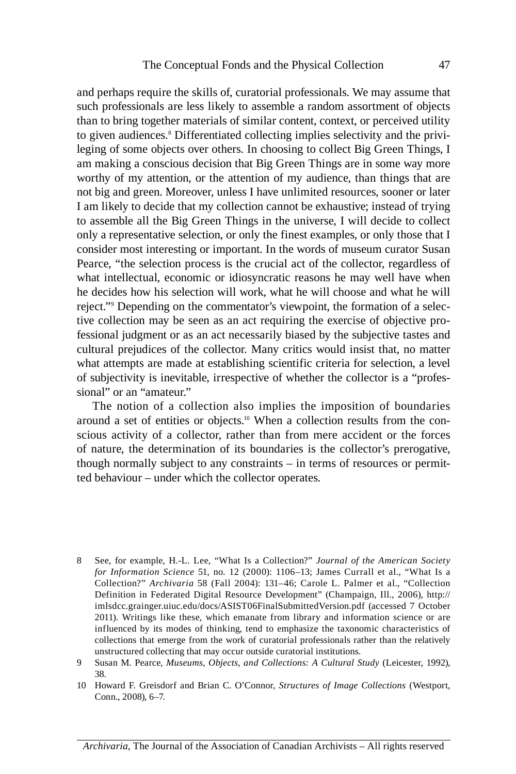and perhaps require the skills of, curatorial professionals. We may assume that such professionals are less likely to assemble a random assortment of objects than to bring together materials of similar content, context, or perceived utility to given audiences.8 Differentiated collecting implies selectivity and the privileging of some objects over others. In choosing to collect Big Green Things, I am making a conscious decision that Big Green Things are in some way more worthy of my attention, or the attention of my audience, than things that are not big and green. Moreover, unless I have unlimited resources, sooner or later I am likely to decide that my collection cannot be exhaustive; instead of trying to assemble all the Big Green Things in the universe, I will decide to collect only a representative selection, or only the finest examples, or only those that I consider most interesting or important. In the words of museum curator Susan Pearce, "the selection process is the crucial act of the collector, regardless of what intellectual, economic or idiosyncratic reasons he may well have when he decides how his selection will work, what he will choose and what he will reject."9 Depending on the commentator's viewpoint, the formation of a selective collection may be seen as an act requiring the exercise of objective professional judgment or as an act necessarily biased by the subjective tastes and cultural prejudices of the collector. Many critics would insist that, no matter what attempts are made at establishing scientific criteria for selection, a level of subjectivity is inevitable, irrespective of whether the collector is a "professional" or an "amateur."

 The notion of a collection also implies the imposition of boundaries scious activity of a collector, rather than from mere accident or the forces of nature, the determination of its boundaries is the collector's prerogative, around a set of entities or objects.10 When a collection results from the conthough normally subject to any constraints – in terms of resources or permitted behaviour – under which the collector operates.

- 8 See, for example, h.-L. Lee, "What Is a Collection?" *Journal of the American Society for Information Science* 51, no. 12 (2000): 1106–13; James Currall et al., "What Is a Collection?" *Archivaria* 58 (Fall 2004): 131–46; Carole L. Palmer et al., "Collection Definition in Federated Digital Resource Development" (Champaign, Ill., 2006), http:// imlsdcc.grainger.uiuc.edu/docs/ASIST06FinalSubmittedversion.pdf (accessed 7 October 2011). Writings like these, which emanate from library and information science or are influenced by its modes of thinking, tend to emphasize the taxonomic characteristics of collections that emerge from the work of curatorial professionals rather than the relatively unstructured collecting that may occur outside curatorial institutions.
- 9 Susan M. Pearce, *Museums, Objects, and Collections: A Cultural Study* (Leicester, 1992), 38.
- 10 howard F. Greisdorf and Brian C. O'Connor, *Structures of Image Collections* (Westport, Conn., 2008), 6–7.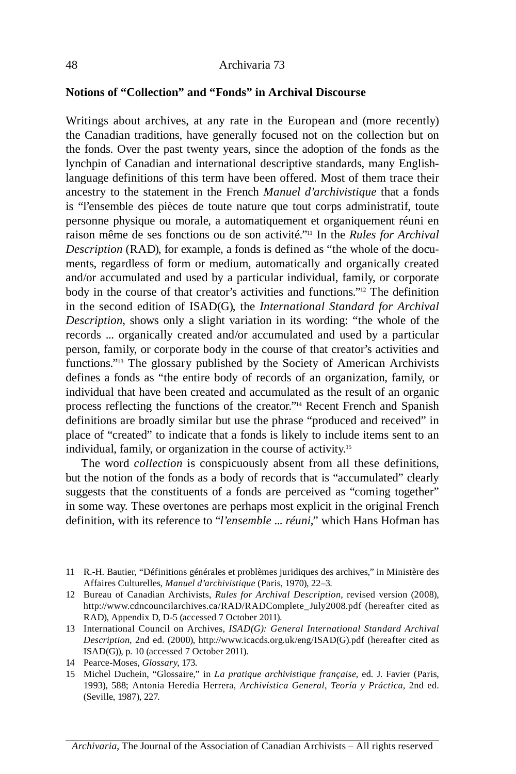## **Notions of "Collection" and "Fonds" in Archival Discourse**

 Writings about archives, at any rate in the European and (more recently) in the second edition of ISAD(G), the *International Standard for Archival*  records ... organically created and/or accumulated and used by a particular functions."13 The glossary published by the Society of American Archivists the Canadian traditions, have generally focused not on the collection but on the fonds. Over the past twenty years, since the adoption of the fonds as the lynchpin of Canadian and international descriptive standards, many Englishlanguage definitions of this term have been offered. Most of them trace their ancestry to the statement in the French *Manuel d'archivistique* that a fonds is "l'ensemble des pièces de toute nature que tout corps administratif, toute personne physique ou morale, a automatiquement et organiquement réuni en raison même de ses fonctions ou de son activité."11 In the *Rules for Archival Description* (RAD), for example, a fonds is defined as "the whole of the documents, regardless of form or medium, automatically and organically created and/or accumulated and used by a particular individual, family, or corporate body in the course of that creator's activities and functions."<sup>12</sup> The definition *Description*, shows only a slight variation in its wording: "the whole of the person, family, or corporate body in the course of that creator's activities and defines a fonds as "the entire body of records of an organization, family, or individual that have been created and accumulated as the result of an organic process reflecting the functions of the creator."14 Recent French and Spanish definitions are broadly similar but use the phrase "produced and received" in place of "created" to indicate that a fonds is likely to include items sent to an individual, family, or organization in the course of activity.15

 The word *collection* is conspicuously absent from all these definitions, but the notion of the fonds as a body of records that is "accumulated" clearly suggests that the constituents of a fonds are perceived as "coming together" in some way. These overtones are perhaps most explicit in the original French definition, with its reference to "*l'ensemble ... réuni*," which Hans Hofman has

- 11 R.-h. Bautier, "Définitions générales et problèmes juridiques des archives," in Ministère des Affaires Culturelles, *Manuel d'archivistique* (Paris, 1970), 22–3.
- 12 Bureau of Canadian Archivists, *Rules for Archival Description*, revised version (2008), http://www.cdncouncilarchives.ca/RAD/RADComplete\_July2008.pdf (hereafter cited as RAD), Appendix D, D-5 (accessed 7 October 2011).
- 13 International Council on Archives, *ISAD(G): General International Standard Archival Description*, 2nd ed. (2000), http://www.icacds.org.uk/eng/ISAD(G).pdf (hereafter cited as ISAD(G)), p. 10 (accessed 7 October 2011).
- 14 Pearce-Moses, *Glossary*, 173.
- 15 Michel Duchein, "Glossaire," in *La pratique archivistique française*, ed. J. Favier (Paris, 1993), 588; Antonia heredia herrera, *Archivística General, Teoría y Práctica*, 2nd ed. (Seville, 1987), 227.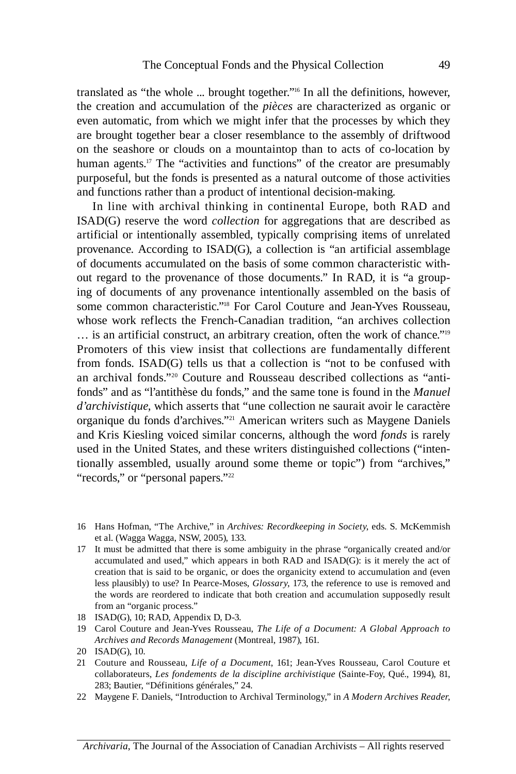the creation and accumulation of the *pièces* are characterized as organic or on the seashore or clouds on a mountaintop than to acts of co-location by translated as "the whole ... brought together."16 In all the definitions, however, even automatic, from which we might infer that the processes by which they are brought together bear a closer resemblance to the assembly of driftwood human agents.<sup>17</sup> The "activities and functions" of the creator are presumably purposeful, but the fonds is presented as a natural outcome of those activities and functions rather than a product of intentional decision-making.

 In line with archival thinking in continental Europe, both RAD and ISAD(G) reserve the word *collection* for aggregations that are described as out regard to the provenance of those documents." In RAD, it is "a group- some common characteristic."18 For Carol Couture and Jean-Yves Rousseau, whose work reflects the French-Canadian tradition, "an archives collection Promoters of this view insist that collections are fundamentally different from fonds. ISAD(G) tells us that a collection is "not to be confused with an archival fonds."20 Couture and Rousseau described collections as "anti- tionally assembled, usually around some theme or topic") from "archives," artificial or intentionally assembled, typically comprising items of unrelated provenance. According to ISAD(G), a collection is "an artificial assemblage of documents accumulated on the basis of some common characteristic withing of documents of any provenance intentionally assembled on the basis of … is an artificial construct, an arbitrary creation, often the work of chance."19 fonds" and as "l'antithèse du fonds," and the same tone is found in the *Manuel d'archivistique*, which asserts that "une collection ne saurait avoir le caractère organique du fonds d'archives."21 American writers such as Maygene Daniels and Kris Kiesling voiced similar concerns, although the word *fonds* is rarely used in the United States, and these writers distinguished collections ("inten-"records," or "personal papers."<sup>22</sup>

- 16 hans hofman, "The Archive," in *Archives: Recordkeeping in Society*, eds. S. McKemmish et al. (Wagga Wagga, NSW, 2005), 133.
- less plausibly) to use? In Pearce-Moses, *Glossary*, 173, the reference to use is removed and 17 It must be admitted that there is some ambiguity in the phrase "organically created and/or accumulated and used," which appears in both RAD and ISAD(G): is it merely the act of creation that is said to be organic, or does the organicity extend to accumulation and (even the words are reordered to indicate that both creation and accumulation supposedly result from an "organic process."
- 18 ISAD(G), 10; RAD, Appendix D, D-3.
- 19 Carol Couture and Jean-Yves Rousseau, *The Life of a Document: A Global Approach to Archives and Records Management* (Montreal, 1987), 161.
- 20 ISAD(G), 10.
- 21 Couture and Rousseau, *Life of a Document*, 161; Jean-Yves Rousseau, Carol Couture et collaborateurs, *Les fondements de la discipline archivistique* (Sainte-Foy, Qué., 1994), 81, 283; Bautier, "Définitions générales," 24.
- 22 Maygene F. Daniels, "Introduction to Archival Terminology," in *A Modern Archives Reader*,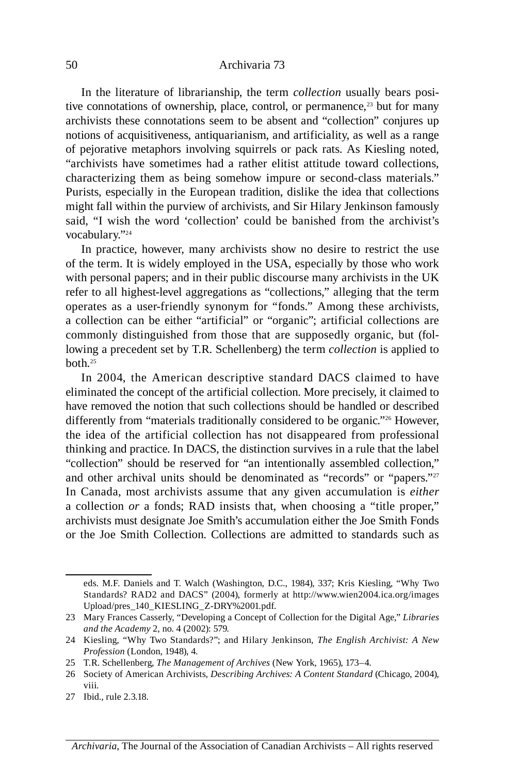In the literature of librarianship, the term *collection* usually bears posi- of pejorative metaphors involving squirrels or pack rats. As Kiesling noted, "archivists have sometimes had a rather elitist attitude toward collections, characterizing them as being somehow impure or second-class materials." said, "I wish the word 'collection' could be banished from the archivist's tive connotations of ownership, place, control, or permanence,<sup>23</sup> but for many archivists these connotations seem to be absent and "collection" conjures up notions of acquisitiveness, antiquarianism, and artificiality, as well as a range Purists, especially in the European tradition, dislike the idea that collections might fall within the purview of archivists, and Sir hilary Jenkinson famously vocabulary."24

 In practice, however, many archivists show no desire to restrict the use of the term. It is widely employed in the USA, especially by those who work with personal papers; and in their public discourse many archivists in the UK refer to all highest-level aggregations as "collections," alleging that the term operates as a user-friendly synonym for "fonds." Among these archivists, a collection can be either "artificial" or "organic"; artificial collections are commonly distinguished from those that are supposedly organic, but (fol- lowing a precedent set by T.R. Schellenberg) the term *collection* is applied to both.25

 In 2004, the American descriptive standard DACS claimed to have the idea of the artificial collection has not disappeared from professional "collection" should be reserved for "an intentionally assembled collection," and other archival units should be denominated as "records" or "papers."<sup>27</sup> In Canada, most archivists assume that any given accumulation is *either*  a collection *or* a fonds; RAD insists that, when choosing a "title proper," or the Joe Smith Collection. Collections are admitted to standards such as eliminated the concept of the artificial collection. More precisely, it claimed to have removed the notion that such collections should be handled or described differently from "materials traditionally considered to be organic."<sup>26</sup> However, thinking and practice. In DACS, the distinction survives in a rule that the label archivists must designate Joe Smith's accumulation either the Joe Smith Fonds

 Standards? RAD2 and DACS" (2004), formerly at http://www.wien2004.ica.org/images eds. M.F. Daniels and T. Walch (Washington, D.C., 1984), 337; Kris Kiesling, "Why Two Upload/pres\_140\_KIESLING\_Z-DRY%2001.pdf.

<sup>23</sup> Mary Frances Casserly, "Developing a Concept of Collection for the Digital Age," *Libraries and the Academy* 2, no. 4 (2002): 579.

 24 Kiesling, "Why Two Standards?"; and hilary Jenkinson, *The English Archivist: A New Profession* (London, 1948), 4.

<sup>25</sup> T.R. Schellenberg, *The Management of Archives* (New York, 1965), 173–4.

<sup>26</sup> Society of American Archivists, *Describing Archives: A Content Standard* (Chicago, 2004), viii.

<sup>27</sup> Ibid., rule 2.3.18.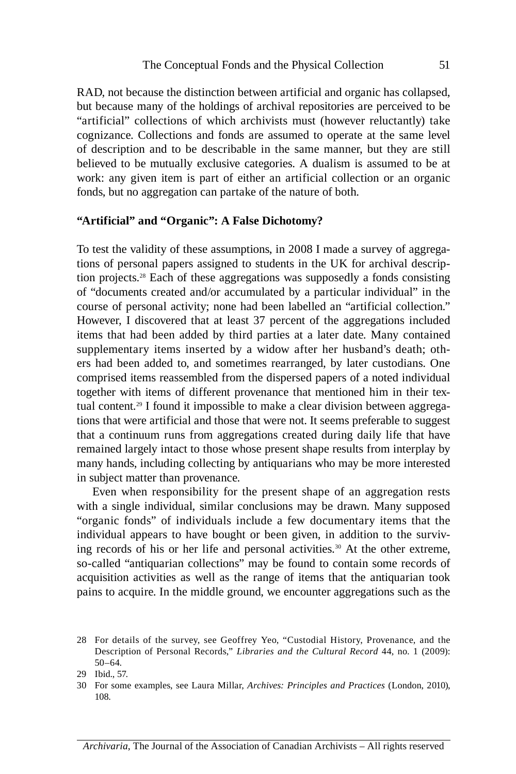"artificial" collections of which archivists must (however reluctantly) take of description and to be describable in the same manner, but they are still work: any given item is part of either an artificial collection or an organic RAD, not because the distinction between artificial and organic has collapsed, but because many of the holdings of archival repositories are perceived to be cognizance. Collections and fonds are assumed to operate at the same level believed to be mutually exclusive categories. A dualism is assumed to be at fonds, but no aggregation can partake of the nature of both.

## **"Artificial" and "Organic": A False Dichotomy?**

 however, I discovered that at least 37 percent of the aggregations included items that had been added by third parties at a later date. Many contained supplementary items inserted by a widow after her husband's death; oth- ers had been added to, and sometimes rearranged, by later custodians. One To test the validity of these assumptions, in 2008 I made a survey of aggregations of personal papers assigned to students in the UK for archival description projects.28 Each of these aggregations was supposedly a fonds consisting of "documents created and/or accumulated by a particular individual" in the course of personal activity; none had been labelled an "artificial collection." comprised items reassembled from the dispersed papers of a noted individual together with items of different provenance that mentioned him in their textual content.<sup>29</sup> I found it impossible to make a clear division between aggregations that were artificial and those that were not. It seems preferable to suggest that a continuum runs from aggregations created during daily life that have remained largely intact to those whose present shape results from interplay by many hands, including collecting by antiquarians who may be more interested in subject matter than provenance.

 Even when responsibility for the present shape of an aggregation rests "organic fonds" of individuals include a few documentary items that the individual appears to have bought or been given, in addition to the surviv- acquisition activities as well as the range of items that the antiquarian took with a single individual, similar conclusions may be drawn. Many supposed ing records of his or her life and personal activities.<sup>30</sup> At the other extreme, so-called "antiquarian collections" may be found to contain some records of pains to acquire. In the middle ground, we encounter aggregations such as the

 28 For details of the survey, see Geoffrey Yeo, "Custodial history, Provenance, and the Description of Personal Records," *Libraries and the Cultural Record* 44, no. 1 (2009): 50–64.

<sup>29</sup> Ibid., 57.

<sup>30</sup> For some examples, see Laura Millar, *Archives: Principles and Practices* (London, 2010), 108.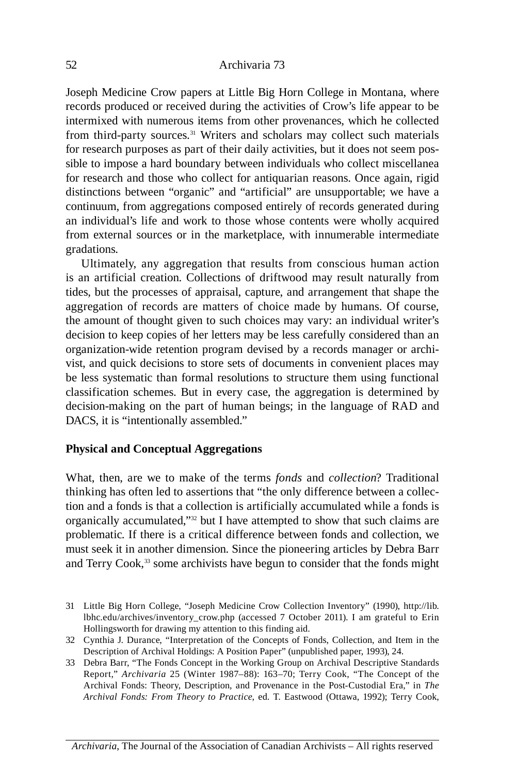from third-party sources.<sup>31</sup> Writers and scholars may collect such materials Joseph Medicine Crow papers at Little Big horn College in Montana, where records produced or received during the activities of Crow's life appear to be intermixed with numerous items from other provenances, which he collected for research purposes as part of their daily activities, but it does not seem possible to impose a hard boundary between individuals who collect miscellanea for research and those who collect for antiquarian reasons. Once again, rigid distinctions between "organic" and "artificial" are unsupportable; we have a continuum, from aggregations composed entirely of records generated during an individual's life and work to those whose contents were wholly acquired from external sources or in the marketplace, with innumerable intermediate gradations.

 Ultimately, any aggregation that results from conscious human action is an artificial creation. Collections of driftwood may result naturally from aggregation of records are matters of choice made by humans. Of course, classification schemes. But in every case, the aggregation is determined by tides, but the processes of appraisal, capture, and arrangement that shape the the amount of thought given to such choices may vary: an individual writer's decision to keep copies of her letters may be less carefully considered than an organization-wide retention program devised by a records manager or archivist, and quick decisions to store sets of documents in convenient places may be less systematic than formal resolutions to structure them using functional decision-making on the part of human beings; in the language of RAD and DACS, it is "intentionally assembled."

## **Physical and Conceptual Aggregations**

 What, then, are we to make of the terms *fonds* and *collection*? Traditional thinking has often led to assertions that "the only difference between a collection and a fonds is that a collection is artificially accumulated while a fonds is organically accumulated,"32 but I have attempted to show that such claims are problematic. If there is a critical difference between fonds and collection, we must seek it in another dimension. Since the pioneering articles by Debra Barr and Terry Cook,<sup>33</sup> some archivists have begun to consider that the fonds might

 31 Little Big horn College, "Joseph Medicine Crow Collection Inventory" (1990), http://lib. lbhc.edu/archives/inventory\_crow.php (accessed 7 October 2011). I am grateful to Erin hollingsworth for drawing my attention to this finding aid.

<sup>32</sup> Cynthia J. Durance, "Interpretation of the Concepts of Fonds, Collection, and Item in the Description of Archival holdings: A Position Paper" (unpublished paper, 1993), 24.

 Report," *Archivaria* 25 (Winter 1987–88): 163–70; Terry Cook, "The Concept of the Archival Fonds: Theory, Description, and Provenance in the Post-Custodial Era," in *The Archival Fonds: From Theory to Practice*, ed. T. Eastwood (Ottawa, 1992); Terry Cook, 33 Debra Barr, "The Fonds Concept in the Working Group on Archival Descriptive Standards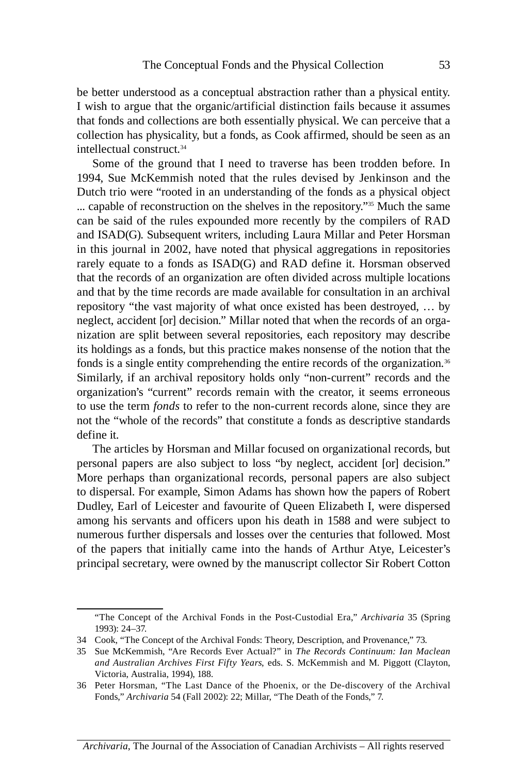be better understood as a conceptual abstraction rather than a physical entity. I wish to argue that the organic/artificial distinction fails because it assumes that fonds and collections are both essentially physical. We can perceive that a collection has physicality, but a fonds, as Cook affirmed, should be seen as an intellectual construct.<sup>34</sup>

 Some of the ground that I need to traverse has been trodden before. In 1994, Sue McKemmish noted that the rules devised by Jenkinson and the Dutch trio were "rooted in an understanding of the fonds as a physical object ... capable of reconstruction on the shelves in the repository."35 Much the same can be said of the rules expounded more recently by the compilers of RAD and ISAD(G). Subsequent writers, including Laura Millar and Peter horsman in this journal in 2002, have noted that physical aggregations in repositories rarely equate to a fonds as ISAD(G) and RAD define it. Horsman observed that the records of an organization are often divided across multiple locations and that by the time records are made available for consultation in an archival repository "the vast majority of what once existed has been destroyed, … by neglect, accident [or] decision." Millar noted that when the records of an organization are split between several repositories, each repository may describe its holdings as a fonds, but this practice makes nonsense of the notion that the fonds is a single entity comprehending the entire records of the organization.<sup>36</sup> Similarly, if an archival repository holds only "non-current" records and the organization's "current" records remain with the creator, it seems erroneous to use the term *fonds* to refer to the non-current records alone, since they are not the "whole of the records" that constitute a fonds as descriptive standards define it.

 More perhaps than organizational records, personal papers are also subject of the papers that initially came into the hands of Arthur Atye, Leicester's The articles by horsman and Millar focused on organizational records, but personal papers are also subject to loss "by neglect, accident [or] decision." to dispersal. For example, Simon Adams has shown how the papers of Robert Dudley, Earl of Leicester and favourite of Queen Elizabeth I, were dispersed among his servants and officers upon his death in 1588 and were subject to numerous further dispersals and losses over the centuries that followed. Most principal secretary, were owned by the manuscript collector Sir Robert Cotton

 "The Concept of the Archival Fonds in the Post-Custodial Era," *Archivaria* 35 (Spring 1993): 24–37.

<sup>34</sup> Cook, "The Concept of the Archival Fonds: Theory, Description, and Provenance," 73.

 35 Sue McKemmish, "Are Records Ever Actual?" in *The Records Continuum: Ian Maclean and Australian Archives First Fifty Years*, eds. S. McKemmish and M. Piggott (Clayton, victoria, Australia, 1994), 188.

 36 Peter horsman, "The Last Dance of the Phoenix, or the De-discovery of the Archival Fonds," *Archivaria* 54 (Fall 2002): 22; Millar, "The Death of the Fonds," 7.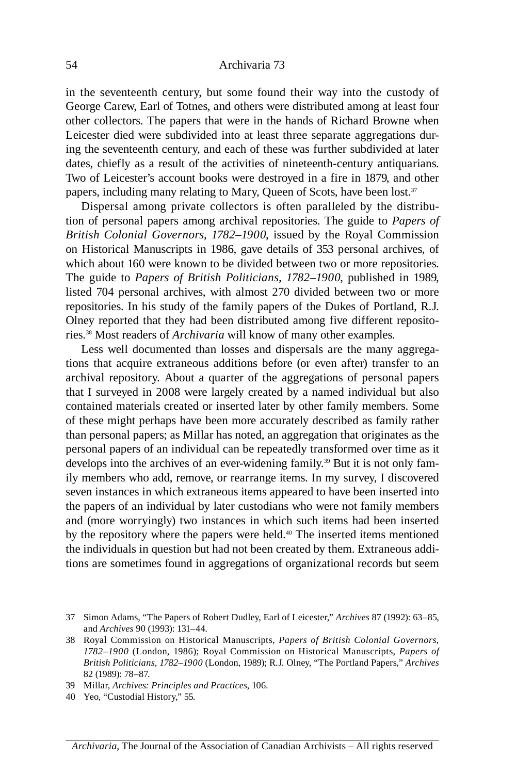in the seventeenth century, but some found their way into the custody of George Carew, Earl of Totnes, and others were distributed among at least four other collectors. The papers that were in the hands of Richard Browne when Leicester died were subdivided into at least three separate aggregations during the seventeenth century, and each of these was further subdivided at later dates, chiefly as a result of the activities of nineteenth-century antiquarians. Two of Leicester's account books were destroyed in a fire in 1879, and other papers, including many relating to Mary, Queen of Scots, have been lost.<sup>37</sup>

 Dispersal among private collectors is often paralleled by the distribu- *British Colonial Governors, 1782–1900*, issued by the Royal Commission The guide to *Papers of British Politicians, 1782–1900*, published in 1989, tion of personal papers among archival repositories. The guide to *Papers of*  on historical Manuscripts in 1986, gave details of 353 personal archives, of which about 160 were known to be divided between two or more repositories. listed 704 personal archives, with almost 270 divided between two or more repositories. In his study of the family papers of the Dukes of Portland, R.J. Olney reported that they had been distributed among five different repositories.38 Most readers of *Archivaria* will know of many other examples.

 Less well documented than losses and dispersals are the many aggrega- tions that acquire extraneous additions before (or even after) transfer to an archival repository. About a quarter of the aggregations of personal papers that I surveyed in 2008 were largely created by a named individual but also contained materials created or inserted later by other family members. Some of these might perhaps have been more accurately described as family rather than personal papers; as Millar has noted, an aggregation that originates as the personal papers of an individual can be repeatedly transformed over time as it develops into the archives of an ever-widening family.<sup>39</sup> But it is not only family members who add, remove, or rearrange items. In my survey, I discovered seven instances in which extraneous items appeared to have been inserted into the papers of an individual by later custodians who were not family members and (more worryingly) two instances in which such items had been inserted by the repository where the papers were held.<sup>40</sup> The inserted items mentioned the individuals in question but had not been created by them. Extraneous additions are sometimes found in aggregations of organizational records but seem

<sup>37</sup> Simon Adams, "The Papers of Robert Dudley, Earl of Leicester," *Archives* 87 (1992): 63–85, and *Archives* 90 (1993): 131–44.

 38 Royal Commission on historical Manuscripts, *Papers of British Colonial Governors, 1782–1900* (London, 1986); Royal Commission on historical Manuscripts, *Papers of British Politicians, 1782–1900* (London, 1989); R.J. Olney, "The Portland Papers," *Archives*  82 (1989): 78–87.

<sup>39</sup> Millar, *Archives: Principles and Practices*, 106.

<sup>40</sup> Yeo, "Custodial history," 55.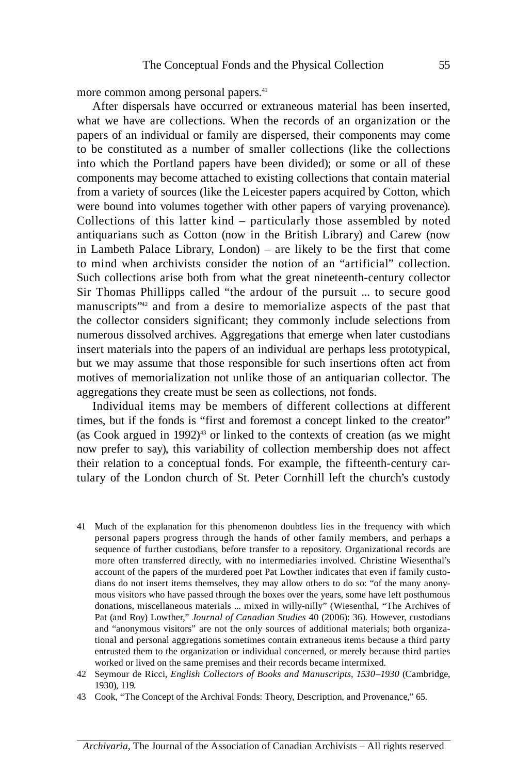more common among personal papers.<sup>41</sup>

 what we have are collections. When the records of an organization or the to be constituted as a number of smaller collections (like the collections into which the Portland papers have been divided); or some or all of these Collections of this latter kind – particularly those assembled by noted antiquarians such as Cotton (now in the British Library) and Carew (now in Lambeth Palace Library, London) – are likely to be the first that come to mind when archivists consider the notion of an "artificial" collection. Sir Thomas Phillipps called "the ardour of the pursuit ... to secure good manuscripts<sup>"42</sup> and from a desire to memorialize aspects of the past that the collector considers significant; they commonly include selections from After dispersals have occurred or extraneous material has been inserted, papers of an individual or family are dispersed, their components may come components may become attached to existing collections that contain material from a variety of sources (like the Leicester papers acquired by Cotton, which were bound into volumes together with other papers of varying provenance). Such collections arise both from what the great nineteenth-century collector numerous dissolved archives. Aggregations that emerge when later custodians insert materials into the papers of an individual are perhaps less prototypical, but we may assume that those responsible for such insertions often act from motives of memorialization not unlike those of an antiquarian collector. The aggregations they create must be seen as collections, not fonds.

 Individual items may be members of different collections at different their relation to a conceptual fonds. For example, the fifteenth-century car- tulary of the London church of St. Peter Cornhill left the church's custody times, but if the fonds is "first and foremost a concept linked to the creator" (as Cook argued in 1992) $43$  or linked to the contexts of creation (as we might now prefer to say), this variability of collection membership does not affect

- 41 Much of the explanation for this phenomenon doubtless lies in the frequency with which personal papers progress through the hands of other family members, and perhaps a more often transferred directly, with no intermediaries involved. Christine Wiesenthal's sequence of further custodians, before transfer to a repository. Organizational records are account of the papers of the murdered poet Pat Lowther indicates that even if family custodians do not insert items themselves, they may allow others to do so: "of the many anonymous visitors who have passed through the boxes over the years, some have left posthumous donations, miscellaneous materials ... mixed in willy-nilly" (Wiesenthal, "The Archives of Pat (and Roy) Lowther," *Journal of Canadian Studies* 40 (2006): 36). however, custodians and "anonymous visitors" are not the only sources of additional materials; both organizational and personal aggregations sometimes contain extraneous items because a third party entrusted them to the organization or individual concerned, or merely because third parties worked or lived on the same premises and their records became intermixed.
- 42 Seymour de Ricci, *English Collectors of Books and Manuscripts, 1530–1930* (Cambridge, 1930), 119.
- 43 Cook, "The Concept of the Archival Fonds: Theory, Description, and Provenance," 65.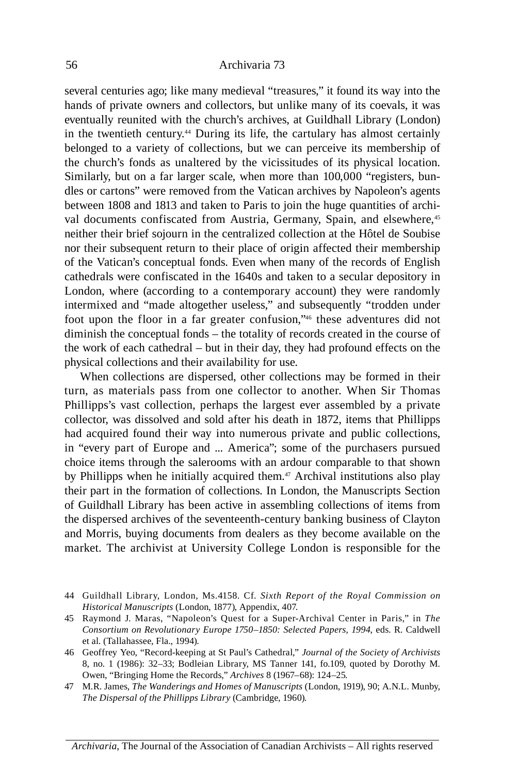in the twentieth century.<sup>44</sup> During its life, the cartulary has almost certainly belonged to a variety of collections, but we can perceive its membership of the church's fonds as unaltered by the vicissitudes of its physical location. val documents confiscated from Austria, Germany, Spain, and elsewhere,<sup>45</sup> London, where (according to a contemporary account) they were randomly intermixed and "made altogether useless," and subsequently "trodden under foot upon the floor in a far greater confusion,"46 these adventures did not several centuries ago; like many medieval "treasures," it found its way into the hands of private owners and collectors, but unlike many of its coevals, it was eventually reunited with the church's archives, at Guildhall Library (London) Similarly, but on a far larger scale, when more than 100,000 "registers, bundles or cartons" were removed from the vatican archives by Napoleon's agents between 1808 and 1813 and taken to Paris to join the huge quantities of archineither their brief sojourn in the centralized collection at the hôtel de Soubise nor their subsequent return to their place of origin affected their membership of the vatican's conceptual fonds. Even when many of the records of English cathedrals were confiscated in the 1640s and taken to a secular depository in diminish the conceptual fonds – the totality of records created in the course of the work of each cathedral – but in their day, they had profound effects on the physical collections and their availability for use.

 turn, as materials pass from one collector to another. When Sir Thomas Phillipps's vast collection, perhaps the largest ever assembled by a private had acquired found their way into numerous private and public collections, in "every part of Europe and ... America"; some of the purchasers pursued market. The archivist at University College London is responsible for the When collections are dispersed, other collections may be formed in their collector, was dissolved and sold after his death in 1872, items that Phillipps choice items through the salerooms with an ardour comparable to that shown by Phillipps when he initially acquired them.<sup>47</sup> Archival institutions also play their part in the formation of collections. In London, the Manuscripts Section of Guildhall Library has been active in assembling collections of items from the dispersed archives of the seventeenth-century banking business of Clayton and Morris, buying documents from dealers as they become available on the

 44 Guildhall Library, London, Ms.4158. Cf. *Sixth Report of the Royal Commission on Historical Manuscripts* (London, 1877), Appendix, 407.

 45 Raymond J. Maras, "Napoleon's Quest for a Super-Archival Center in Paris," in *The Consortium on Revolutionary Europe 1750–1850: Selected Papers, 1994*, eds. R. Caldwell et al. (Tallahassee, Fla., 1994).

 8, no. 1 (1986): 32–33; Bodleian Library, MS Tanner 141, fo.109, quoted by Dorothy M. 46 Geoffrey Yeo, "Record-keeping at St Paul's Cathedral," *Journal of the Society of Archivists* Owen, "Bringing home the Records," *Archives* 8 (1967–68): 124–25.

<sup>47</sup> M.R. James, *The Wanderings and Homes of Manuscripts* (London, 1919), 90; A.N.L. Munby, *The Dispersal of the Phillipps Library* (Cambridge, 1960).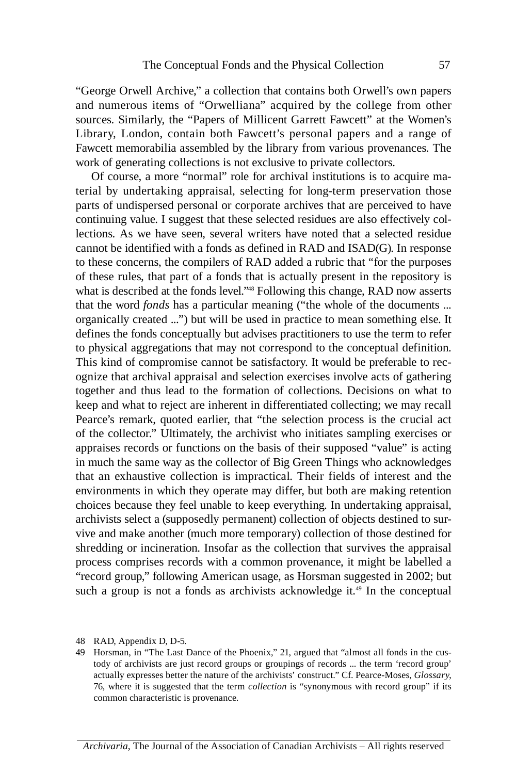and numerous items of "Orwelliana" acquired by the college from other Library, London, contain both Fawcett's personal papers and a range of "George Orwell Archive," a collection that contains both Orwell's own papers sources. Similarly, the "Papers of Millicent Garrett Fawcett" at the Women's Fawcett memorabilia assembled by the library from various provenances. The work of generating collections is not exclusive to private collectors.

 terial by undertaking appraisal, selecting for long-term preservation those together and thus lead to the formation of collections. Decisions on what to that an exhaustive collection is impractical. Their fields of interest and the Of course, a more "normal" role for archival institutions is to acquire maparts of undispersed personal or corporate archives that are perceived to have continuing value. I suggest that these selected residues are also effectively collections. As we have seen, several writers have noted that a selected residue cannot be identified with a fonds as defined in RAD and ISAD(G). In response to these concerns, the compilers of RAD added a rubric that "for the purposes of these rules, that part of a fonds that is actually present in the repository is what is described at the fonds level."<sup>48</sup> Following this change, RAD now asserts that the word *fonds* has a particular meaning ("the whole of the documents ... organically created ...") but will be used in practice to mean something else. It defines the fonds conceptually but advises practitioners to use the term to refer to physical aggregations that may not correspond to the conceptual definition. This kind of compromise cannot be satisfactory. It would be preferable to recognize that archival appraisal and selection exercises involve acts of gathering keep and what to reject are inherent in differentiated collecting; we may recall Pearce's remark, quoted earlier, that "the selection process is the crucial act of the collector." Ultimately, the archivist who initiates sampling exercises or appraises records or functions on the basis of their supposed "value" is acting in much the same way as the collector of Big Green Things who acknowledges environments in which they operate may differ, but both are making retention choices because they feel unable to keep everything. In undertaking appraisal, archivists select a (supposedly permanent) collection of objects destined to survive and make another (much more temporary) collection of those destined for shredding or incineration. Insofar as the collection that survives the appraisal process comprises records with a common provenance, it might be labelled a "record group," following American usage, as horsman suggested in 2002; but such a group is not a fonds as archivists acknowledge it.<sup>49</sup> In the conceptual

<sup>48</sup> RAD, Appendix D, D-5.

<sup>49</sup> horsman, in "The Last Dance of the Phoenix," 21, argued that "almost all fonds in the custody of archivists are just record groups or groupings of records ... the term 'record group' actually expresses better the nature of the archivists' construct." Cf. Pearce-Moses, *Glossary*, 76, where it is suggested that the term *collection* is "synonymous with record group" if its common characteristic is provenance.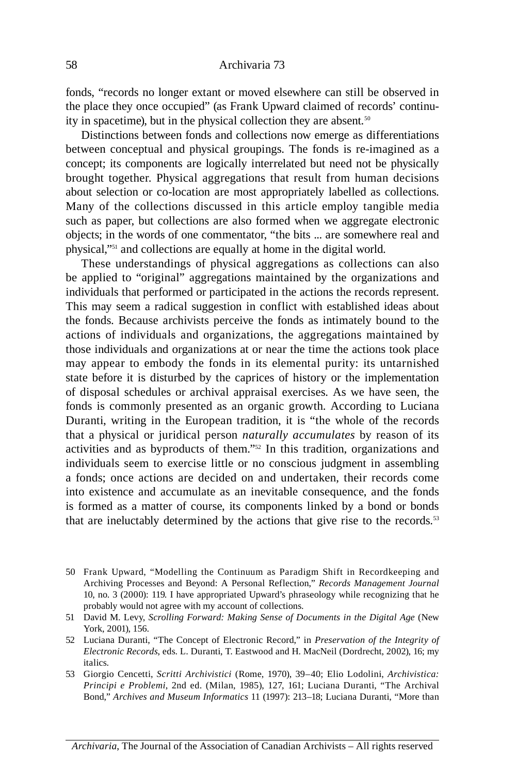fonds, "records no longer extant or moved elsewhere can still be observed in the place they once occupied" (as Frank Upward claimed of records' continuity in spacetime), but in the physical collection they are absent.<sup>50</sup>

 between conceptual and physical groupings. The fonds is re-imagined as a brought together. Physical aggregations that result from human decisions Many of the collections discussed in this article employ tangible media Distinctions between fonds and collections now emerge as differentiations concept; its components are logically interrelated but need not be physically about selection or co-location are most appropriately labelled as collections. such as paper, but collections are also formed when we aggregate electronic objects; in the words of one commentator, "the bits ... are somewhere real and physical,"51 and collections are equally at home in the digital world.

 These understandings of physical aggregations as collections can also be applied to "original" aggregations maintained by the organizations and the fonds. Because archivists perceive the fonds as intimately bound to the actions of individuals and organizations, the aggregations maintained by may appear to embody the fonds in its elemental purity: its untarnished state before it is disturbed by the caprices of history or the implementation of disposal schedules or archival appraisal exercises. As we have seen, the fonds is commonly presented as an organic growth. According to Luciana Duranti, writing in the European tradition, it is "the whole of the records that a physical or juridical person *naturally accumulates* by reason of its activities and as byproducts of them."52 In this tradition, organizations and individuals seem to exercise little or no conscious judgment in assembling a fonds; once actions are decided on and undertaken, their records come into existence and accumulate as an inevitable consequence, and the fonds is formed as a matter of course, its components linked by a bond or bonds individuals that performed or participated in the actions the records represent. This may seem a radical suggestion in conflict with established ideas about those individuals and organizations at or near the time the actions took place that are ineluctably determined by the actions that give rise to the records.<sup>53</sup>

 50 Frank Upward, "Modelling the Continuum as Paradigm Shift in Recordkeeping and Archiving Processes and Beyond: A Personal Reflection," *Records Management Journal* 10, no. 3 (2000): 119. I have appropriated Upward's phraseology while recognizing that he probably would not agree with my account of collections.

<sup>51</sup> David M. Levy, *Scrolling Forward: Making Sense of Documents in the Digital Age* (New York, 2001), 156.

<sup>52</sup> Luciana Duranti, "The Concept of Electronic Record," in *Preservation of the Integrity of Electronic Records*, eds. L. Duranti, T. Eastwood and h. MacNeil (Dordrecht, 2002), 16; my italics.

 53 Giorgio Cencetti, *Scritti Archivistici* (Rome, 1970), 39–40; Elio Lodolini, *Archivistica: Principi e Problemi*, 2nd ed. (Milan, 1985), 127, 161; Luciana Duranti, "The Archival Bond," *Archives and Museum Informatics* 11 (1997): 213–18; Luciana Duranti, "More than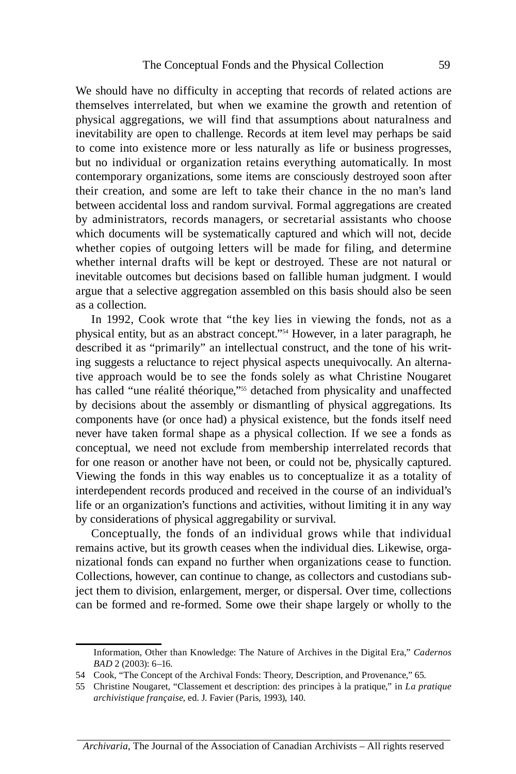themselves interrelated, but when we examine the growth and retention of physical aggregations, we will find that assumptions about naturalness and to come into existence more or less naturally as life or business progresses, but no individual or organization retains everything automatically. In most their creation, and some are left to take their chance in the no man's land by administrators, records managers, or secretarial assistants who choose whether copies of outgoing letters will be made for filing, and determine whether internal drafts will be kept or destroyed. These are not natural or We should have no difficulty in accepting that records of related actions are inevitability are open to challenge. Records at item level may perhaps be said contemporary organizations, some items are consciously destroyed soon after between accidental loss and random survival. Formal aggregations are created which documents will be systematically captured and which will not, decide inevitable outcomes but decisions based on fallible human judgment. I would argue that a selective aggregation assembled on this basis should also be seen as a collection.

 In 1992, Cook wrote that "the key lies in viewing the fonds, not as a tive approach would be to see the fonds solely as what Christine Nougaret conceptual, we need not exclude from membership interrelated records that  interdependent records produced and received in the course of an individual's physical entity, but as an abstract concept."54 however, in a later paragraph, he described it as "primarily" an intellectual construct, and the tone of his writing suggests a reluctance to reject physical aspects unequivocally. An alternahas called "une réalité théorique,"<sup>555</sup> detached from physicality and unaffected by decisions about the assembly or dismantling of physical aggregations. Its components have (or once had) a physical existence, but the fonds itself need never have taken formal shape as a physical collection. If we see a fonds as for one reason or another have not been, or could not be, physically captured. viewing the fonds in this way enables us to conceptualize it as a totality of life or an organization's functions and activities, without limiting it in any way by considerations of physical aggregability or survival.

 Conceptually, the fonds of an individual grows while that individual remains active, but its growth ceases when the individual dies. Likewise, organizational fonds can expand no further when organizations cease to function. Collections, however, can continue to change, as collectors and custodians subject them to division, enlargement, merger, or dispersal. Over time, collections can be formed and re-formed. Some owe their shape largely or wholly to the

Information, Other than Knowledge: The Nature of Archives in the Digital Era," *Cadernos BAD* 2 (2003): 6–16.

<sup>54</sup> Cook, "The Concept of the Archival Fonds: Theory, Description, and Provenance," 65.

<sup>55</sup> Christine Nougaret, "Classement et description: des principes à la pratique," in *La pratique archivistique française*, ed. J. Favier (Paris, 1993), 140.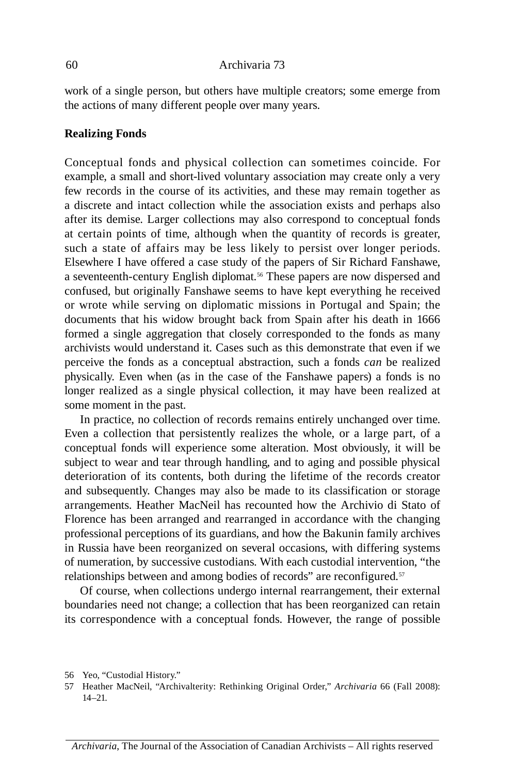work of a single person, but others have multiple creators; some emerge from the actions of many different people over many years.

## **Realizing Fonds**

 Conceptual fonds and physical collection can sometimes coincide. For at certain points of time, although when the quantity of records is greater, such a state of affairs may be less likely to persist over longer periods. or wrote while serving on diplomatic missions in Portugal and Spain; the documents that his widow brought back from Spain after his death in 1666 formed a single aggregation that closely corresponded to the fonds as many longer realized as a single physical collection, it may have been realized at example, a small and short-lived voluntary association may create only a very few records in the course of its activities, and these may remain together as a discrete and intact collection while the association exists and perhaps also after its demise. Larger collections may also correspond to conceptual fonds Elsewhere I have offered a case study of the papers of Sir Richard Fanshawe, a seventeenth-century English diplomat.<sup>56</sup> These papers are now dispersed and confused, but originally Fanshawe seems to have kept everything he received archivists would understand it. Cases such as this demonstrate that even if we perceive the fonds as a conceptual abstraction, such a fonds *can* be realized physically. Even when (as in the case of the Fanshawe papers) a fonds is no some moment in the past.

 Even a collection that persistently realizes the whole, or a large part, of a conceptual fonds will experience some alteration. Most obviously, it will be deterioration of its contents, both during the lifetime of the records creator and subsequently. Changes may also be made to its classification or storage arrangements. heather MacNeil has recounted how the Archivio di Stato of In practice, no collection of records remains entirely unchanged over time. subject to wear and tear through handling, and to aging and possible physical Florence has been arranged and rearranged in accordance with the changing professional perceptions of its guardians, and how the Bakunin family archives in Russia have been reorganized on several occasions, with differing systems of numeration, by successive custodians. With each custodial intervention, "the relationships between and among bodies of records" are reconfigured.<sup>57</sup>

its correspondence with a conceptual fonds. However, the range of possible Of course, when collections undergo internal rearrangement, their external boundaries need not change; a collection that has been reorganized can retain

<sup>56</sup> Yeo, "Custodial History."

<sup>57</sup> heather MacNeil, "Archivalterity: Rethinking Original Order," *Archivaria* 66 (Fall 2008):  $14-21$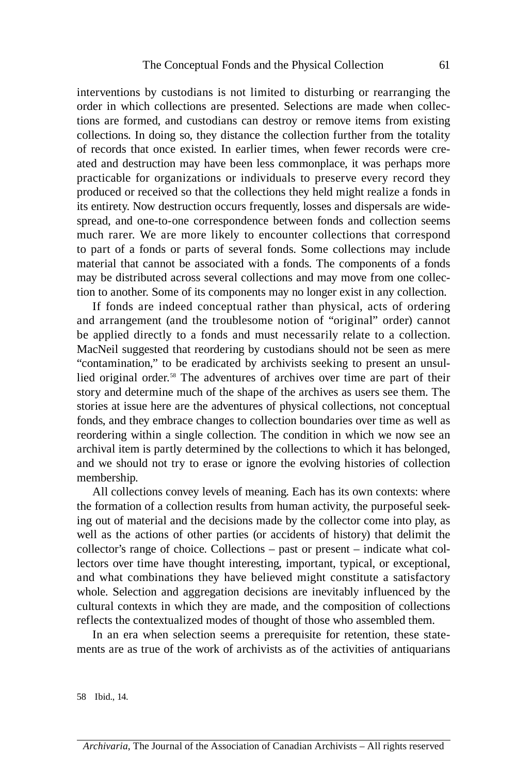interventions by custodians is not limited to disturbing or rearranging the order in which collections are presented. Selections are made when collec- practicable for organizations or individuals to preserve every record they spread, and one-to-one correspondence between fonds and collection seems much rarer. We are more likely to encounter collections that correspond to part of a fonds or parts of several fonds. Some collections may include tions are formed, and custodians can destroy or remove items from existing collections. In doing so, they distance the collection further from the totality of records that once existed. In earlier times, when fewer records were created and destruction may have been less commonplace, it was perhaps more produced or received so that the collections they held might realize a fonds in its entirety. Now destruction occurs frequently, losses and dispersals are widematerial that cannot be associated with a fonds. The components of a fonds may be distributed across several collections and may move from one collection to another. Some of its components may no longer exist in any collection.

 If fonds are indeed conceptual rather than physical, acts of ordering and arrangement (and the troublesome notion of "original" order) cannot be applied directly to a fonds and must necessarily relate to a collection. lied original order.<sup>58</sup> The adventures of archives over time are part of their MacNeil suggested that reordering by custodians should not be seen as mere "contamination," to be eradicated by archivists seeking to present an unsulstory and determine much of the shape of the archives as users see them. The stories at issue here are the adventures of physical collections, not conceptual fonds, and they embrace changes to collection boundaries over time as well as reordering within a single collection. The condition in which we now see an archival item is partly determined by the collections to which it has belonged, and we should not try to erase or ignore the evolving histories of collection membership.

 and what combinations they have believed might constitute a satisfactory whole. Selection and aggregation decisions are inevitably influenced by the All collections convey levels of meaning. Each has its own contexts: where the formation of a collection results from human activity, the purposeful seeking out of material and the decisions made by the collector come into play, as well as the actions of other parties (or accidents of history) that delimit the collector's range of choice. Collections – past or present – indicate what collectors over time have thought interesting, important, typical, or exceptional, cultural contexts in which they are made, and the composition of collections reflects the contextualized modes of thought of those who assembled them.

 In an era when selection seems a prerequisite for retention, these statements are as true of the work of archivists as of the activities of antiquarians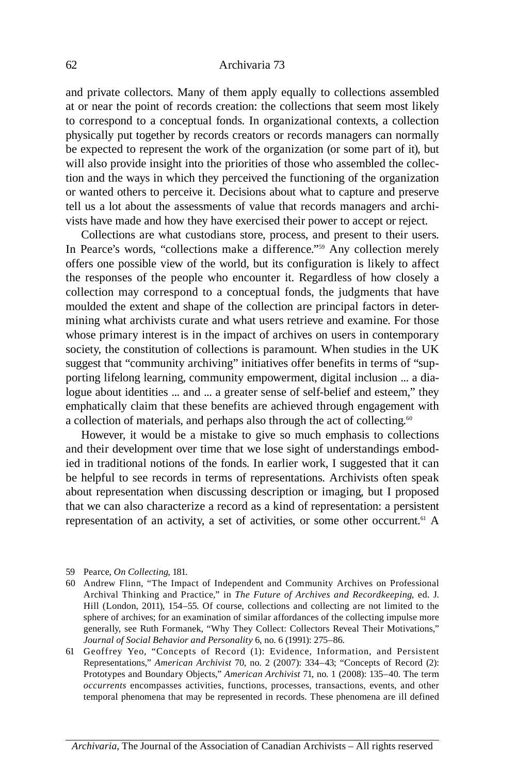and private collectors. Many of them apply equally to collections assembled tell us a lot about the assessments of value that records managers and archi at or near the point of records creation: the collections that seem most likely to correspond to a conceptual fonds. In organizational contexts, a collection physically put together by records creators or records managers can normally be expected to represent the work of the organization (or some part of it), but will also provide insight into the priorities of those who assembled the collection and the ways in which they perceived the functioning of the organization or wanted others to perceive it. Decisions about what to capture and preserve vists have made and how they have exercised their power to accept or reject.

 In Pearce's words, "collections make a difference."59 Any collection merely the responses of the people who encounter it. Regardless of how closely a collection may correspond to a conceptual fonds, the judgments that have Collections are what custodians store, process, and present to their users. offers one possible view of the world, but its configuration is likely to affect moulded the extent and shape of the collection are principal factors in determining what archivists curate and what users retrieve and examine. For those whose primary interest is in the impact of archives on users in contemporary society, the constitution of collections is paramount. When studies in the UK suggest that "community archiving" initiatives offer benefits in terms of "supporting lifelong learning, community empowerment, digital inclusion ... a dialogue about identities ... and ... a greater sense of self-belief and esteem," they emphatically claim that these benefits are achieved through engagement with a collection of materials, and perhaps also through the act of collecting.<sup>60</sup>

however, it would be a mistake to give so much emphasis to collections and their development over time that we lose sight of understandings embodied in traditional notions of the fonds. In earlier work, I suggested that it can be helpful to see records in terms of representations. Archivists often speak about representation when discussing description or imaging, but I proposed that we can also characterize a record as a kind of representation: a persistent representation of an activity, a set of activities, or some other occurrent.<sup>61</sup> A

- 59 Pearce, *On Collecting*, 181.
- 60 Andrew Flinn, "The Impact of Independent and Community Archives on Professional Archival Thinking and Practice," in *The Future of Archives and Recordkeeping*, ed. J. hill (London, 2011), 154–55. Of course, collections and collecting are not limited to the sphere of archives; for an examination of similar affordances of the collecting impulse more generally, see Ruth Formanek, "Why They Collect: Collectors Reveal Their Motivations," *Journal of Social Behavior and Personality* 6, no. 6 (1991): 275–86.
- 61 Geoffrey Yeo, "Concepts of Record (1): Evidence, Information, and Persistent Representations," *American Archivist* 70, no. 2 (2007): 334–43; "Concepts of Record (2): *occurrents* encompasses activities, functions, processes, transactions, events, and other Prototypes and Boundary Objects," *American Archivist* 71, no. 1 (2008): 135–40. The term temporal phenomena that may be represented in records. These phenomena are ill defined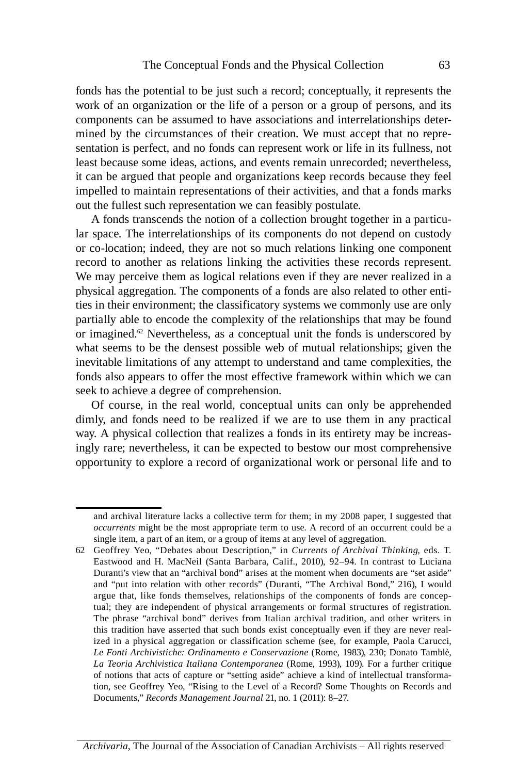fonds has the potential to be just such a record; conceptually, it represents the work of an organization or the life of a person or a group of persons, and its components can be assumed to have associations and interrelationships determined by the circumstances of their creation. We must accept that no representation is perfect, and no fonds can represent work or life in its fullness, not least because some ideas, actions, and events remain unrecorded; nevertheless, it can be argued that people and organizations keep records because they feel impelled to maintain representations of their activities, and that a fonds marks out the fullest such representation we can feasibly postulate.

 record to another as relations linking the activities these records represent. A fonds transcends the notion of a collection brought together in a particular space. The interrelationships of its components do not depend on custody or co-location; indeed, they are not so much relations linking one component We may perceive them as logical relations even if they are never realized in a physical aggregation. The components of a fonds are also related to other entities in their environment; the classificatory systems we commonly use are only partially able to encode the complexity of the relationships that may be found or imagined. $62$  Nevertheless, as a conceptual unit the fonds is underscored by what seems to be the densest possible web of mutual relationships; given the inevitable limitations of any attempt to understand and tame complexities, the fonds also appears to offer the most effective framework within which we can seek to achieve a degree of comprehension.

 Of course, in the real world, conceptual units can only be apprehended dimly, and fonds need to be realized if we are to use them in any practical way. A physical collection that realizes a fonds in its entirety may be increasingly rare; nevertheless, it can be expected to bestow our most comprehensive opportunity to explore a record of organizational work or personal life and to

and archival literature lacks a collective term for them; in my 2008 paper, I suggested that *occurrents* might be the most appropriate term to use. A record of an occurrent could be a single item, a part of an item, or a group of items at any level of aggregation.

 62 Geoffrey Yeo, "Debates about Description," in *Currents of Archival Thinking*, eds. T. Eastwood and h. MacNeil (Santa Barbara, Calif., 2010), 92–94. In contrast to Luciana and "put into relation with other records" (Duranti, "The Archival Bond," 216), I would argue that, like fonds themselves, relationships of the components of fonds are concep- tual; they are independent of physical arrangements or formal structures of registration. The phrase "archival bond" derives from Italian archival tradition, and other writers in ized in a physical aggregation or classification scheme (see, for example, Paola Carucci, Duranti's view that an "archival bond" arises at the moment when documents are "set aside" this tradition have asserted that such bonds exist conceptually even if they are never real-*Le Fonti Archivistiche: Ordinamento e Conservazione* (Rome, 1983), 230; Donato Tamblè, *La Teoria Archivistica Italiana Contemporanea* (Rome, 1993), 109). For a further critique of notions that acts of capture or "setting aside" achieve a kind of intellectual transformation, see Geoffrey Yeo, "Rising to the Level of a Record? Some Thoughts on Records and Documents," *Records Management Journal* 21, no. 1 (2011): 8–27.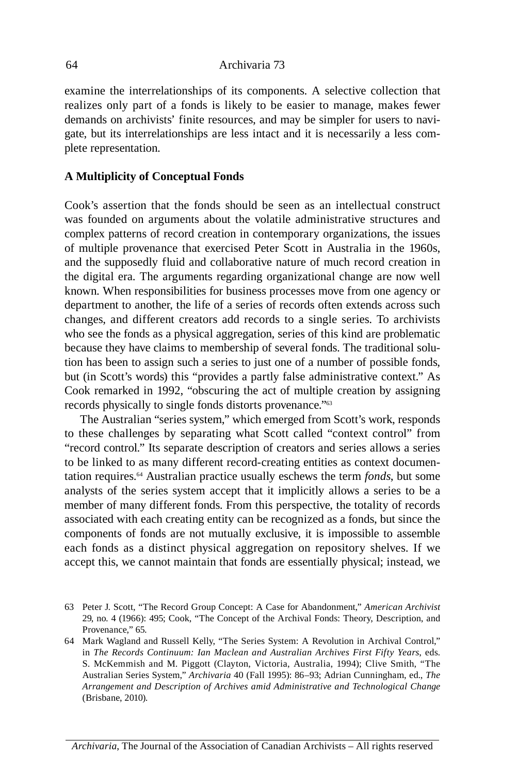examine the interrelationships of its components. A selective collection that realizes only part of a fonds is likely to be easier to manage, makes fewer demands on archivists' finite resources, and may be simpler for users to navigate, but its interrelationships are less intact and it is necessarily a less complete representation.

# **A Multiplicity of Conceptual Fonds**

 Cook's assertion that the fonds should be seen as an intellectual construct was founded on arguments about the volatile administrative structures and of multiple provenance that exercised Peter Scott in Australia in the 1960s, changes, and different creators add records to a single series. To archivists complex patterns of record creation in contemporary organizations, the issues and the supposedly fluid and collaborative nature of much record creation in the digital era. The arguments regarding organizational change are now well known. When responsibilities for business processes move from one agency or department to another, the life of a series of records often extends across such who see the fonds as a physical aggregation, series of this kind are problematic because they have claims to membership of several fonds. The traditional solution has been to assign such a series to just one of a number of possible fonds, but (in Scott's words) this "provides a partly false administrative context." As Cook remarked in 1992, "obscuring the act of multiple creation by assigning records physically to single fonds distorts provenance."63

 to these challenges by separating what Scott called "context control" from analysts of the series system accept that it implicitly allows a series to be a each fonds as a distinct physical aggregation on repository shelves. If we The Australian "series system," which emerged from Scott's work, responds "record control." Its separate description of creators and series allows a series to be linked to as many different record-creating entities as context documentation requires.64 Australian practice usually eschews the term *fonds*, but some member of many different fonds. From this perspective, the totality of records associated with each creating entity can be recognized as a fonds, but since the components of fonds are not mutually exclusive, it is impossible to assemble accept this, we cannot maintain that fonds are essentially physical; instead, we

*Archivaria*, The Journal of the Association of Canadian Archivists – All rights reserved

<sup>63</sup> Peter J. Scott, "The Record Group Concept: A Case for Abandonment," *American Archivist*  29, no. 4 (1966): 495; Cook, "The Concept of the Archival Fonds: Theory, Description, and Provenance," 65.

 in *The Records Continuum: Ian Maclean and Australian Archives First Fifty Years*, eds. S. McKemmish and M. Piggott (Clayton, victoria, Australia, 1994); Clive Smith, "The 64 Mark Wagland and Russell Kelly, "The Series System: A Revolution in Archival Control," Australian Series System," *Archivaria* 40 (Fall 1995): 86–93; Adrian Cunningham, ed., *The Arrangement and Description of Archives amid Administrative and Technological Change* (Brisbane, 2010).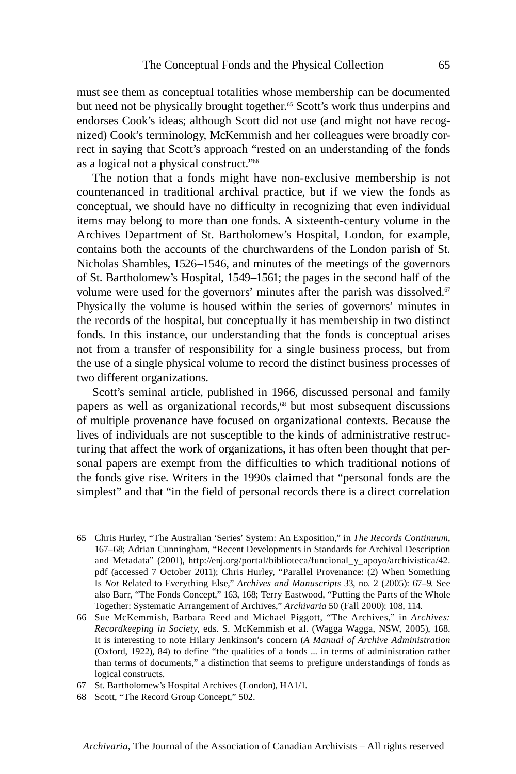must see them as conceptual totalities whose membership can be documented but need not be physically brought together.<sup>65</sup> Scott's work thus underpins and endorses Cook's ideas; although Scott did not use (and might not have recognized) Cook's terminology, McKemmish and her colleagues were broadly correct in saying that Scott's approach "rested on an understanding of the fonds as a logical not a physical construct."66

 The notion that a fonds might have non-exclusive membership is not countenanced in traditional archival practice, but if we view the fonds as Archives Department of St. Bartholomew's Hospital, London, for example, Physically the volume is housed within the series of governors' minutes in not from a transfer of responsibility for a single business process, but from conceptual, we should have no difficulty in recognizing that even individual items may belong to more than one fonds. A sixteenth-century volume in the contains both the accounts of the churchwardens of the London parish of St. Nicholas Shambles, 1526–1546, and minutes of the meetings of the governors of St. Bartholomew's hospital, 1549–1561; the pages in the second half of the volume were used for the governors' minutes after the parish was dissolved. $67$ the records of the hospital, but conceptually it has membership in two distinct fonds. In this instance, our understanding that the fonds is conceptual arises the use of a single physical volume to record the distinct business processes of two different organizations.

papers as well as organizational records,<sup>68</sup> but most subsequent discussions Scott's seminal article, published in 1966, discussed personal and family of multiple provenance have focused on organizational contexts. Because the lives of individuals are not susceptible to the kinds of administrative restructuring that affect the work of organizations, it has often been thought that personal papers are exempt from the difficulties to which traditional notions of the fonds give rise. Writers in the 1990s claimed that "personal fonds are the simplest" and that "in the field of personal records there is a direct correlation

 and Metadata" (2001), http://enj.org/portal/biblioteca/funcional\_y\_apoyo/archivistica/42. pdf (accessed 7 October 2011); Chris hurley, "Parallel Provenance: (2) When Something 65 Chris hurley, "The Australian 'Series' System: An Exposition," in *The Records Continuum*, 167–68; Adrian Cunningham, "Recent Developments in Standards for Archival Description Is *Not* Related to Everything Else," *Archives and Manuscripts* 33, no. 2 (2005): 67–9. See also Barr, "The Fonds Concept," 163, 168; Terry Eastwood, "Putting the Parts of the Whole Together: Systematic Arrangement of Archives," *Archivaria* 50 (Fall 2000): 108, 114.

 66 Sue McKemmish, Barbara Reed and Michael Piggott, "The Archives," in *Archives: Recordkeeping in Society*, eds. S. McKemmish et al. (Wagga Wagga, NSW, 2005), 168. It is interesting to note hilary Jenkinson's concern (*A Manual of Archive Administration*  (Oxford, 1922), 84) to define "the qualities of a fonds ... in terms of administration rather than terms of documents," a distinction that seems to prefigure understandings of fonds as logical constructs.

- 67 St. Bartholomew's hospital Archives (London), hA1/1.
- 68 Scott, "The Record Group Concept," 502.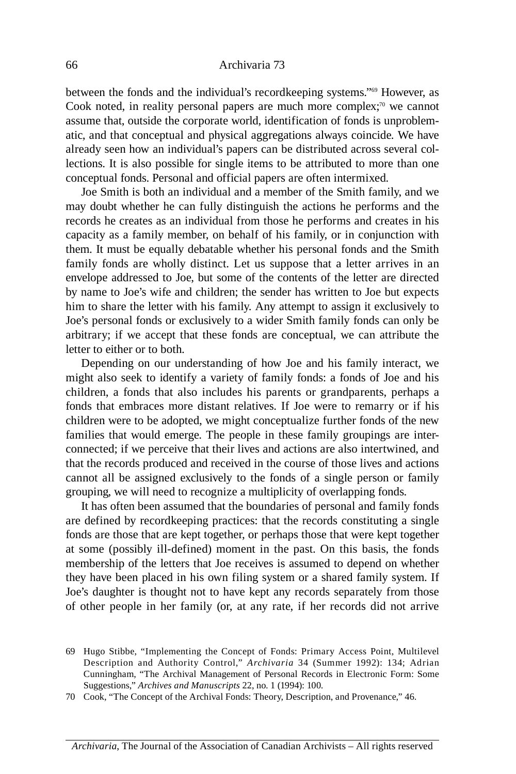between the fonds and the individual's recordkeeping systems."<sup>69</sup> However, as Cook noted, in reality personal papers are much more complex; $\pi$ <sup>0</sup> we cannot assume that, outside the corporate world, identification of fonds is unproblematic, and that conceptual and physical aggregations always coincide. We have already seen how an individual's papers can be distributed across several collections. It is also possible for single items to be attributed to more than one conceptual fonds. Personal and official papers are often intermixed.

 family fonds are wholly distinct. Let us suppose that a letter arrives in an Joe Smith is both an individual and a member of the Smith family, and we may doubt whether he can fully distinguish the actions he performs and the records he creates as an individual from those he performs and creates in his capacity as a family member, on behalf of his family, or in conjunction with them. It must be equally debatable whether his personal fonds and the Smith envelope addressed to Joe, but some of the contents of the letter are directed by name to Joe's wife and children; the sender has written to Joe but expects him to share the letter with his family. Any attempt to assign it exclusively to Joe's personal fonds or exclusively to a wider Smith family fonds can only be arbitrary; if we accept that these fonds are conceptual, we can attribute the letter to either or to both.

 children, a fonds that also includes his parents or grandparents, perhaps a fonds that embraces more distant relatives. If Joe were to remarry or if his cannot all be assigned exclusively to the fonds of a single person or family Depending on our understanding of how Joe and his family interact, we might also seek to identify a variety of family fonds: a fonds of Joe and his children were to be adopted, we might conceptualize further fonds of the new families that would emerge. The people in these family groupings are interconnected; if we perceive that their lives and actions are also intertwined, and that the records produced and received in the course of those lives and actions grouping, we will need to recognize a multiplicity of overlapping fonds.

 at some (possibly ill-defined) moment in the past. On this basis, the fonds of other people in her family (or, at any rate, if her records did not arrive It has often been assumed that the boundaries of personal and family fonds are defined by recordkeeping practices: that the records constituting a single fonds are those that are kept together, or perhaps those that were kept together membership of the letters that Joe receives is assumed to depend on whether they have been placed in his own filing system or a shared family system. If Joe's daughter is thought not to have kept any records separately from those

 69 hugo Stibbe, "Implementing the Concept of Fonds: Primary Access Point, Multilevel Description and Authority Control," *Archivaria* 34 (Summer 1992): 134; Adrian Cunningham, "The Archival Management of Personal Records in Electronic Form: Some Suggestions," *Archives and Manuscripts* 22, no. 1 (1994): 100.

<sup>70</sup> Cook, "The Concept of the Archival Fonds: Theory, Description, and Provenance," 46.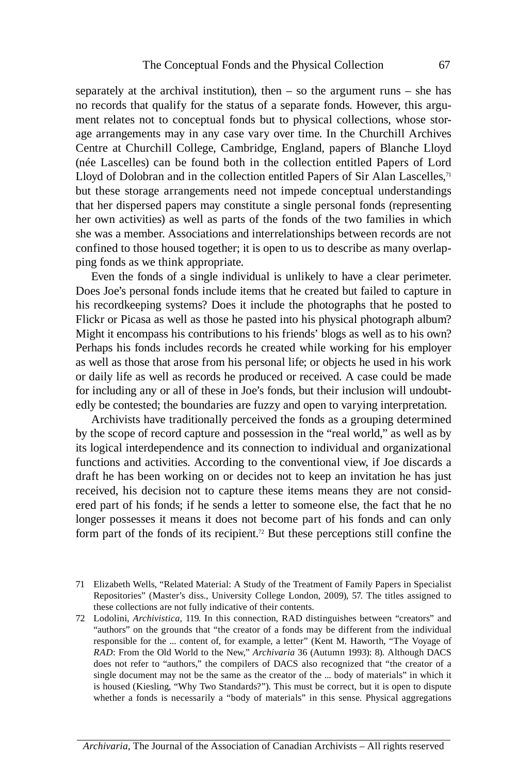ment relates not to conceptual fonds but to physical collections, whose stor- Centre at Churchill College, Cambridge, England, papers of Blanche Lloyd (née Lascelles) can be found both in the collection entitled Papers of Lord but these storage arrangements need not impede conceptual understandings separately at the archival institution), then – so the argument runs – she has no records that qualify for the status of a separate fonds. however, this arguage arrangements may in any case vary over time. In the Churchill Archives Lloyd of Dolobran and in the collection entitled Papers of Sir Alan Lascelles, $71$ that her dispersed papers may constitute a single personal fonds (representing her own activities) as well as parts of the fonds of the two families in which she was a member. Associations and interrelationships between records are not confined to those housed together; it is open to us to describe as many overlapping fonds as we think appropriate.

 Even the fonds of a single individual is unlikely to have a clear perimeter. Does Joe's personal fonds include items that he created but failed to capture in his recordkeeping systems? Does it include the photographs that he posted to Flickr or Picasa as well as those he pasted into his physical photograph album? Might it encompass his contributions to his friends' blogs as well as to his own? Perhaps his fonds includes records he created while working for his employer as well as those that arose from his personal life; or objects he used in his work or daily life as well as records he produced or received. A case could be made for including any or all of these in Joe's fonds, but their inclusion will undoubt-edly be contested; the boundaries are fuzzy and open to varying interpretation.

Archivists have traditionally perceived the fonds as a grouping determined by the scope of record capture and possession in the "real world," as well as by its logical interdependence and its connection to individual and organizational functions and activities. According to the conventional view, if Joe discards a draft he has been working on or decides not to keep an invitation he has just received, his decision not to capture these items means they are not considered part of his fonds; if he sends a letter to someone else, the fact that he no longer possesses it means it does not become part of his fonds and can only form part of the fonds of its recipient.<sup>72</sup> But these perceptions still confine the

- 71 Elizabeth Wells, "Related Material: A Study of the Treatment of Family Papers in Specialist Repositories" (Master's diss., University College London, 2009), 57. The titles assigned to these collections are not fully indicative of their contents.
- does not refer to "authors," the compilers of DACS also recognized that "the creator of a whether a fonds is necessarily a "body of materials" in this sense. Physical aggregations 72 Lodolini, *Archivistica*, 119. In this connection, RAD distinguishes between "creators" and "authors" on the grounds that "the creator of a fonds may be different from the individual responsible for the ... content of, for example, a letter" (Kent M. haworth, "The voyage of *RAD*: From the Old World to the New," *Archivaria* 36 (Autumn 1993): 8). Although DACS single document may not be the same as the creator of the ... body of materials" in which it is housed (Kiesling, "Why Two Standards?"). This must be correct, but it is open to dispute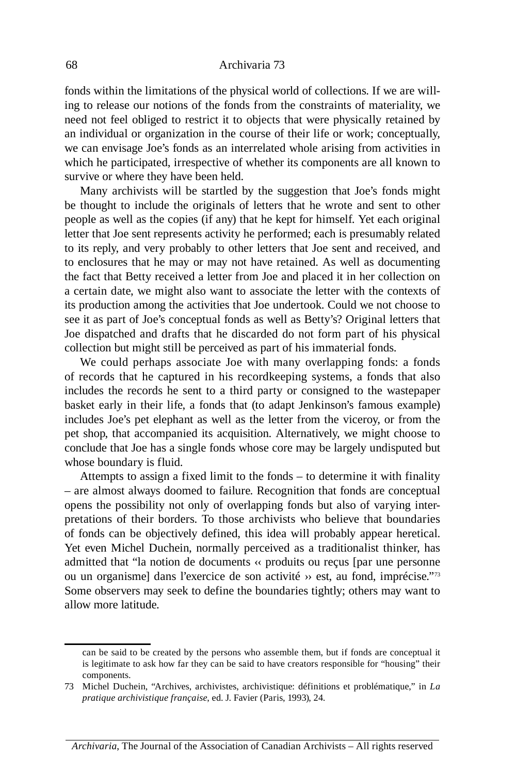fonds within the limitations of the physical world of collections. If we are willing to release our notions of the fonds from the constraints of materiality, we need not feel obliged to restrict it to objects that were physically retained by an individual or organization in the course of their life or work; conceptually, we can envisage Joe's fonds as an interrelated whole arising from activities in which he participated, irrespective of whether its components are all known to survive or where they have been held.

 Many archivists will be startled by the suggestion that Joe's fonds might be thought to include the originals of letters that he wrote and sent to other people as well as the copies (if any) that he kept for himself. Yet each original letter that Joe sent represents activity he performed; each is presumably related to its reply, and very probably to other letters that Joe sent and received, and to enclosures that he may or may not have retained. As well as documenting the fact that Betty received a letter from Joe and placed it in her collection on a certain date, we might also want to associate the letter with the contexts of its production among the activities that Joe undertook. Could we not choose to see it as part of Joe's conceptual fonds as well as Betty's? Original letters that Joe dispatched and drafts that he discarded do not form part of his physical collection but might still be perceived as part of his immaterial fonds.

 We could perhaps associate Joe with many overlapping fonds: a fonds of records that he captured in his recordkeeping systems, a fonds that also includes the records he sent to a third party or consigned to the wastepaper basket early in their life, a fonds that (to adapt Jenkinson's famous example) includes Joe's pet elephant as well as the letter from the viceroy, or from the pet shop, that accompanied its acquisition. Alternatively, we might choose to conclude that Joe has a single fonds whose core may be largely undisputed but whose boundary is fluid.

 pretations of their borders. To those archivists who believe that boundaries Attempts to assign a fixed limit to the fonds – to determine it with finality – are almost always doomed to failure. Recognition that fonds are conceptual opens the possibility not only of overlapping fonds but also of varying interof fonds can be objectively defined, this idea will probably appear heretical. Yet even Michel Duchein, normally perceived as a traditionalist thinker, has admitted that "la notion de documents ‹‹ produits ou reçus [par une personne ou un organisme] dans l'exercice de son activité ›› est, au fond, imprécise."73 Some observers may seek to define the boundaries tightly; others may want to allow more latitude.

can be said to be created by the persons who assemble them, but if fonds are conceptual it is legitimate to ask how far they can be said to have creators responsible for "housing" their components.

 73 Michel Duchein, "Archives, archivistes, archivistique: définitions et problématique," in *La pratique archivistique française*, ed. J. Favier (Paris, 1993), 24.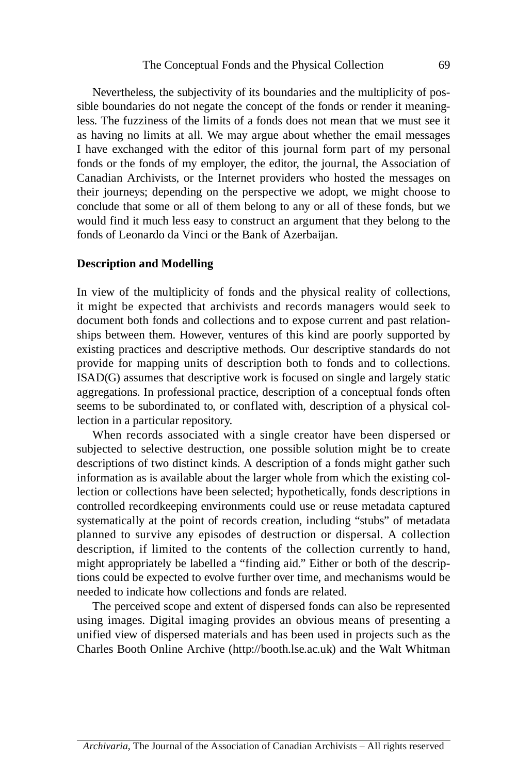I have exchanged with the editor of this journal form part of my personal Canadian Archivists, or the Internet providers who hosted the messages on their journeys; depending on the perspective we adopt, we might choose to Nevertheless, the subjectivity of its boundaries and the multiplicity of possible boundaries do not negate the concept of the fonds or render it meaningless. The fuzziness of the limits of a fonds does not mean that we must see it as having no limits at all. We may argue about whether the email messages fonds or the fonds of my employer, the editor, the journal, the Association of conclude that some or all of them belong to any or all of these fonds, but we would find it much less easy to construct an argument that they belong to the fonds of Leonardo da vinci or the Bank of Azerbaijan.

#### **Description and Modelling**

 In view of the multiplicity of fonds and the physical reality of collections, it might be expected that archivists and records managers would seek to provide for mapping units of description both to fonds and to collections. document both fonds and collections and to expose current and past relationships between them. however, ventures of this kind are poorly supported by existing practices and descriptive methods. Our descriptive standards do not ISAD(G) assumes that descriptive work is focused on single and largely static aggregations. In professional practice, description of a conceptual fonds often seems to be subordinated to, or conflated with, description of a physical collection in a particular repository.

 When records associated with a single creator have been dispersed or subjected to selective destruction, one possible solution might be to create planned to survive any episodes of destruction or dispersal. A collection description, if limited to the contents of the collection currently to hand, descriptions of two distinct kinds. A description of a fonds might gather such information as is available about the larger whole from which the existing collection or collections have been selected; hypothetically, fonds descriptions in controlled recordkeeping environments could use or reuse metadata captured systematically at the point of records creation, including "stubs" of metadata might appropriately be labelled a "finding aid." Either or both of the descriptions could be expected to evolve further over time, and mechanisms would be needed to indicate how collections and fonds are related.

 using images. Digital imaging provides an obvious means of presenting a The perceived scope and extent of dispersed fonds can also be represented unified view of dispersed materials and has been used in projects such as the Charles Booth Online Archive (http://booth.lse.ac.uk) and the Walt Whitman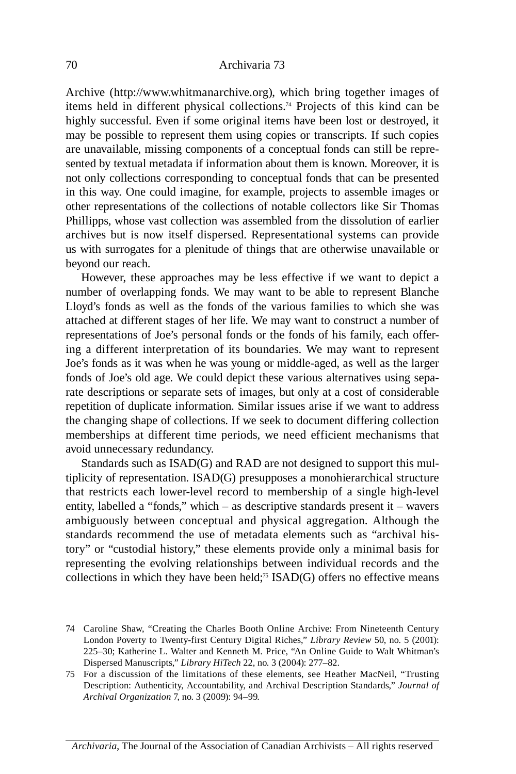Archive (http://www.whitmanarchive.org), which bring together images of items held in different physical collections.74 Projects of this kind can be archives but is now itself dispersed. Representational systems can provide highly successful. Even if some original items have been lost or destroyed, it may be possible to represent them using copies or transcripts. If such copies are unavailable, missing components of a conceptual fonds can still be represented by textual metadata if information about them is known. Moreover, it is not only collections corresponding to conceptual fonds that can be presented in this way. One could imagine, for example, projects to assemble images or other representations of the collections of notable collectors like Sir Thomas Phillipps, whose vast collection was assembled from the dissolution of earlier us with surrogates for a plenitude of things that are otherwise unavailable or beyond our reach.

 however, these approaches may be less effective if we want to depict a ing a different interpretation of its boundaries. We may want to represent memberships at different time periods, we need efficient mechanisms that number of overlapping fonds. We may want to be able to represent Blanche Lloyd's fonds as well as the fonds of the various families to which she was attached at different stages of her life. We may want to construct a number of representations of Joe's personal fonds or the fonds of his family, each offer-Joe's fonds as it was when he was young or middle-aged, as well as the larger fonds of Joe's old age. We could depict these various alternatives using separate descriptions or separate sets of images, but only at a cost of considerable repetition of duplicate information. Similar issues arise if we want to address the changing shape of collections. If we seek to document differing collection avoid unnecessary redundancy.

 that restricts each lower-level record to membership of a single high-level ambiguously between conceptual and physical aggregation. Although the standards recommend the use of metadata elements such as "archival his- representing the evolving relationships between individual records and the Standards such as ISAD(G) and RAD are not designed to support this multiplicity of representation. ISAD(G) presupposes a monohierarchical structure entity, labelled a "fonds," which – as descriptive standards present it – wavers tory" or "custodial history," these elements provide only a minimal basis for collections in which they have been held;<sup>75</sup> ISAD(G) offers no effective means

 74 Caroline Shaw, "Creating the Charles Booth Online Archive: From Nineteenth Century London Poverty to Twenty-first Century Digital Riches," *Library Review* 50, no. 5 (2001): 225–30; Katherine L. Walter and Kenneth M. Price, "An Online Guide to Walt Whitman's Dispersed Manuscripts," *Library HiTech* 22, no. 3 (2004): 277–82.

 75 For a discussion of the limitations of these elements, see heather MacNeil, "Trusting Description: Authenticity, Accountability, and Archival Description Standards," *Journal of Archival Organization* 7, no. 3 (2009): 94–99.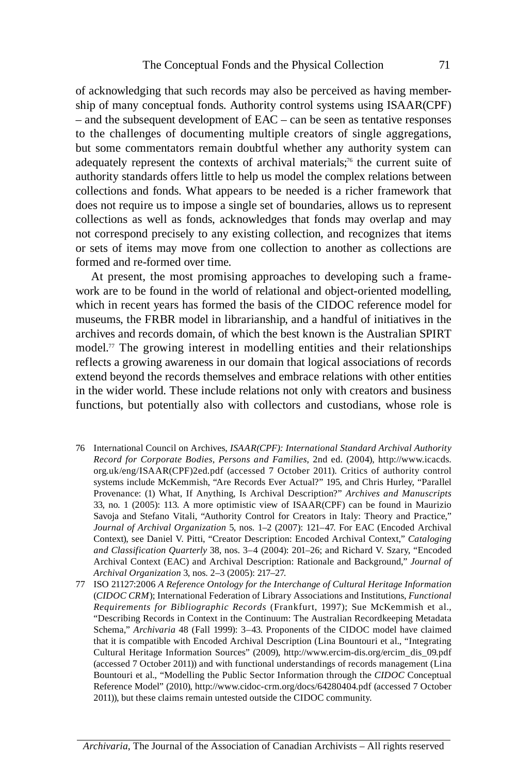to the challenges of documenting multiple creators of single aggregations, but some commentators remain doubtful whether any authority system can adequately represent the contexts of archival materials;<sup>76</sup> the current suite of collections as well as fonds, acknowledges that fonds may overlap and may of acknowledging that such records may also be perceived as having membership of many conceptual fonds. Authority control systems using ISAAR(CPF) – and the subsequent development of EAC – can be seen as tentative responses authority standards offers little to help us model the complex relations between collections and fonds. What appears to be needed is a richer framework that does not require us to impose a single set of boundaries, allows us to represent not correspond precisely to any existing collection, and recognizes that items or sets of items may move from one collection to another as collections are formed and re-formed over time.

 At present, the most promising approaches to developing such a frame- model.77 The growing interest in modelling entities and their relationships functions, but potentially also with collectors and custodians, whose role is work are to be found in the world of relational and object-oriented modelling, which in recent years has formed the basis of the CIDOC reference model for museums, the FRBR model in librarianship, and a handful of initiatives in the archives and records domain, of which the best known is the Australian SPIRT reflects a growing awareness in our domain that logical associations of records extend beyond the records themselves and embrace relations with other entities in the wider world. These include relations not only with creators and business

- *Record for Corporate Bodies, Persons and Families*, 2nd ed. (2004), http://www.icacds. org.uk/eng/ISAAR(CPF)2ed.pdf (accessed 7 October 2011). Critics of authority control Provenance: (1) What, If Anything, Is Archival Description?" *Archives and Manuscripts* 33, no. 1 (2005): 113. A more optimistic view of ISAAR(CPF) can be found in Maurizio Savoja and Stefano vitali, "Authority Control for Creators in Italy: Theory and Practice," 76 International Council on Archives, *ISAAR(CPF): International Standard Archival Authority*  systems include McKemmish, "Are Records Ever Actual?" 195, and Chris Hurley, "Parallel *Journal of Archival Organization* 5, nos. 1–2 (2007): 121–47. For EAC (Encoded Archival Context), see Daniel v. Pitti, "Creator Description: Encoded Archival Context," *Cataloging and Classification Quarterly* 38, nos. 3–4 (2004): 201–26; and Richard v. Szary, "Encoded Archival Context (EAC) and Archival Description: Rationale and Background," *Journal of Archival Organization* 3, nos. 2–3 (2005): 217–27.
- *Requirements for Bibliographic Records* (Frankfurt, 1997); Sue McKemmish et al., 77 ISO 21127:2006 *A Reference Ontology for the Interchange of Cultural Heritage Information*  (*CIDOC CRM*); International Federation of Library Associations and Institutions, *Functional*  "Describing Records in Context in the Continuum: The Australian Recordkeeping Metadata Schema," *Archivaria* 48 (Fall 1999): 3–43. Proponents of the CIDOC model have claimed that it is compatible with Encoded Archival Description (Lina Bountouri et al., "Integrating Cultural heritage Information Sources" (2009), http://www.ercim-dis.org/ercim\_dis\_09.pdf (accessed 7 October 2011)) and with functional understandings of records management (Lina Bountouri et al., "Modelling the Public Sector Information through the *CIDOC* Conceptual Reference Model" (2010), http://www.cidoc-crm.org/docs/64280404.pdf (accessed 7 October 2011)), but these claims remain untested outside the CIDOC community.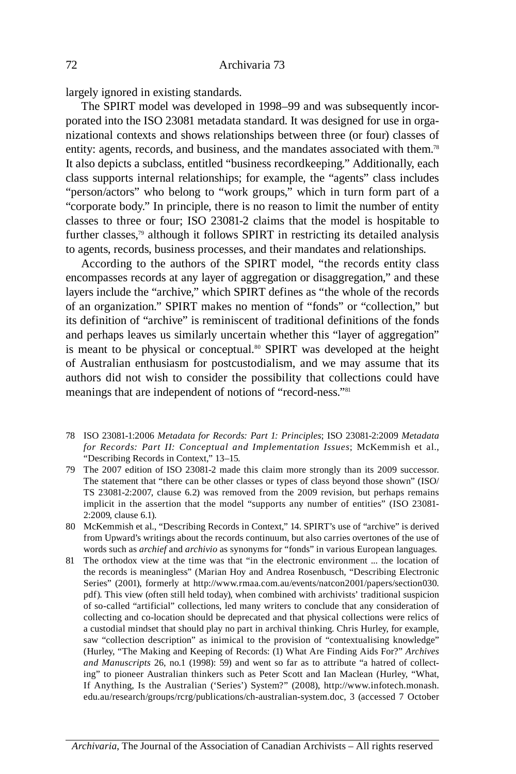largely ignored in existing standards.

The SPIRT model was developed in 1998–99 and was subsequently incorporated into the ISO 23081 metadata standard. It was designed for use in organizational contexts and shows relationships between three (or four) classes of entity: agents, records, and business, and the mandates associated with them.78 It also depicts a subclass, entitled "business recordkeeping." Additionally, each class supports internal relationships; for example, the "agents" class includes "person/actors" who belong to "work groups," which in turn form part of a "corporate body." In principle, there is no reason to limit the number of entity classes to three or four; ISO 23081-2 claims that the model is hospitable to further classes,79 although it follows SPIRT in restricting its detailed analysis to agents, records, business processes, and their mandates and relationships.

 According to the authors of the SPIRT model, "the records entity class is meant to be physical or conceptual.<sup>80</sup> SPIRT was developed at the height of Australian enthusiasm for postcustodialism, and we may assume that its authors did not wish to consider the possibility that collections could have encompasses records at any layer of aggregation or disaggregation," and these layers include the "archive," which SPIRT defines as "the whole of the records of an organization." SPIRT makes no mention of "fonds" or "collection," but its definition of "archive" is reminiscent of traditional definitions of the fonds and perhaps leaves us similarly uncertain whether this "layer of aggregation" meanings that are independent of notions of "record-ness."81

- *for Records: Part II: Conceptual and Implementation Issues*; McKemmish et al., 78 ISO 23081-1:2006 *Metadata for Records: Part 1: Principles*; ISO 23081-2:2009 *Metadata*  "Describing Records in Context," 13–15.
- TS 23081-2:2007, clause 6.2) was removed from the 2009 revision, but perhaps remains implicit in the assertion that the model "supports any number of entities" (ISO 23081 79 The 2007 edition of ISO 23081-2 made this claim more strongly than its 2009 successor. The statement that "there can be other classes or types of class beyond those shown" (ISO/ 2:2009, clause 6.1).
- 80 McKemmish et al., "Describing Records in Context," 14. SPIRT's use of "archive" is derived from Upward's writings about the records continuum, but also carries overtones of the use of words such as *archief* and *archivio* as synonyms for "fonds" in various European languages.
- 81 The orthodox view at the time was that "in the electronic environment ... the location of Series" (2001), formerly at http://www.rmaa.com.au/events/natcon2001/papers/section030. saw "collection description" as inimical to the provision of "contextualising knowledge" ing" to pioneer Australian thinkers such as Peter Scott and Ian Maclean (hurley, "What, If Anything, Is the Australian ('Series') System?" (2008), http://www.infotech.monash. edu.au/research/groups/rcrg/publications/ch-australian-system.doc, 3 (accessed 7 October the records is meaningless" (Marian hoy and Andrea Rosenbusch, "Describing Electronic pdf). This view (often still held today), when combined with archivists' traditional suspicion of so-called "artificial" collections, led many writers to conclude that any consideration of collecting and co-location should be deprecated and that physical collections were relics of a custodial mindset that should play no part in archival thinking. Chris Hurley, for example, (hurley, "The Making and Keeping of Records: (1) What Are Finding Aids For?" *Archives and Manuscripts* 26, no.1 (1998): 59) and went so far as to attribute "a hatred of collect-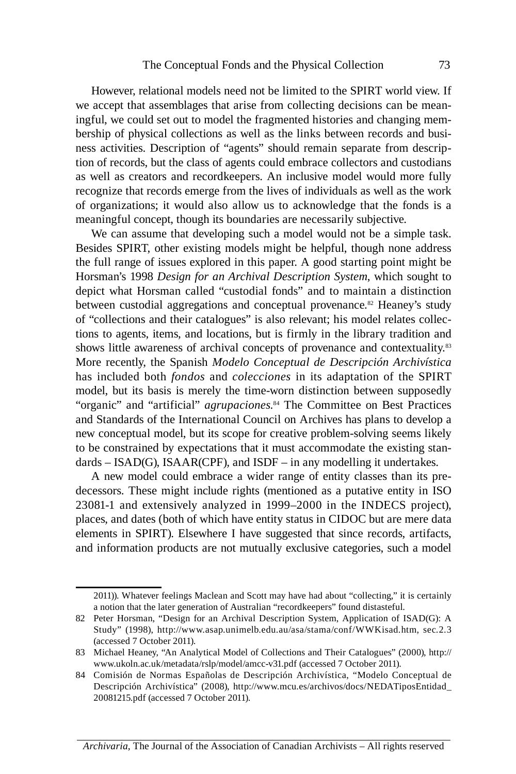of organizations; it would also allow us to acknowledge that the fonds is a however, relational models need not be limited to the SPIRT world view. If we accept that assemblages that arise from collecting decisions can be meaningful, we could set out to model the fragmented histories and changing membership of physical collections as well as the links between records and business activities. Description of "agents" should remain separate from description of records, but the class of agents could embrace collectors and custodians as well as creators and recordkeepers. An inclusive model would more fully recognize that records emerge from the lives of individuals as well as the work meaningful concept, though its boundaries are necessarily subjective.

depict what Horsman called "custodial fonds" and to maintain a distinction More recently, the Spanish *Modelo Conceptual de Descripción Archivística*  has included both *fondos* and *colecciones* in its adaptation of the SPIRT model, but its basis is merely the time-worn distinction between supposedly model, but its basis is merely the time-worn distinction between supposedly "organic" and "artificial" *agrupaciones*.<sup>84</sup> The Committee on Best Practices We can assume that developing such a model would not be a simple task. Besides SPIRT, other existing models might be helpful, though none address the full range of issues explored in this paper. A good starting point might be horsman's 1998 *Design for an Archival Description System*, which sought to between custodial aggregations and conceptual provenance.<sup>82</sup> Heaney's study of "collections and their catalogues" is also relevant; his model relates collections to agents, items, and locations, but is firmly in the library tradition and shows little awareness of archival concepts of provenance and contextuality.<sup>83</sup> and Standards of the International Council on Archives has plans to develop a new conceptual model, but its scope for creative problem-solving seems likely to be constrained by expectations that it must accommodate the existing standards – ISAD(G), ISAAR(CPF)*,* and ISDF – in any modelling it undertakes.

 23081-1 and extensively analyzed in 1999–2000 in the INDECS project), A new model could embrace a wider range of entity classes than its predecessors. These might include rights (mentioned as a putative entity in ISO places, and dates (both of which have entity status in CIDOC but are mere data elements in SPIRT). Elsewhere I have suggested that since records, artifacts, and information products are not mutually exclusive categories, such a model

*Archivaria*, The Journal of the Association of Canadian Archivists – All rights reserved

<sup>2011)).</sup> Whatever feelings Maclean and Scott may have had about "collecting," it is certainly a notion that the later generation of Australian "recordkeepers" found distasteful.

 82 Peter horsman, "Design for an Archival Description System, Application of ISAD(G): A Study" (1998), http://www.asap.unimelb.edu.au/asa/stama/conf/WWKisad.htm, sec.2.3 (accessed 7 October 2011).

<sup>83</sup> Michael heaney, "An Analytical Model of Collections and Their Catalogues" (2000), http:// www.ukoln.ac.uk/metadata/rslp/model/amcc-v31.pdf (accessed 7 October 2011).

 84 Comisión de Normas Españolas de Descripción Archivística, "Modelo Conceptual de Descripción Archivística" (2008), http://www.mcu.es/archivos/docs/NEDATiposEntidad\_ 20081215.pdf (accessed 7 October 2011).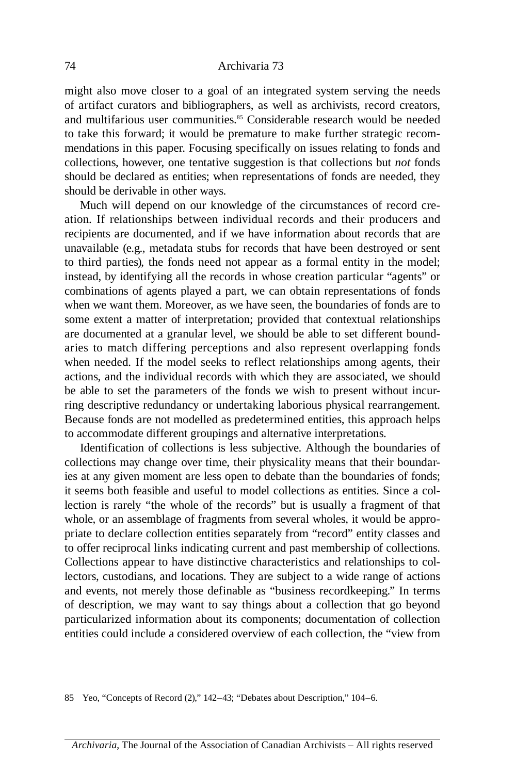might also move closer to a goal of an integrated system serving the needs of artifact curators and bibliographers, as well as archivists, record creators, and multifarious user communities.<sup>85</sup> Considerable research would be needed to take this forward; it would be premature to make further strategic recommendations in this paper. Focusing specifically on issues relating to fonds and collections, however, one tentative suggestion is that collections but *not* fonds should be declared as entities; when representations of fonds are needed, they should be derivable in other ways.

 ation. If relationships between individual records and their producers and to third parties), the fonds need not appear as a formal entity in the model; aries to match differing perceptions and also represent overlapping fonds Much will depend on our knowledge of the circumstances of record crerecipients are documented, and if we have information about records that are unavailable (e.g., metadata stubs for records that have been destroyed or sent instead, by identifying all the records in whose creation particular "agents" or combinations of agents played a part, we can obtain representations of fonds when we want them. Moreover, as we have seen, the boundaries of fonds are to some extent a matter of interpretation; provided that contextual relationships are documented at a granular level, we should be able to set different boundwhen needed. If the model seeks to reflect relationships among agents, their actions, and the individual records with which they are associated, we should be able to set the parameters of the fonds we wish to present without incurring descriptive redundancy or undertaking laborious physical rearrangement. Because fonds are not modelled as predetermined entities, this approach helps to accommodate different groupings and alternative interpretations.

Identification of collections is less subjective. Although the boundaries of collections may change over time, their physicality means that their boundaries at any given moment are less open to debate than the boundaries of fonds; it seems both feasible and useful to model collections as entities. Since a collection is rarely "the whole of the records" but is usually a fragment of that whole, or an assemblage of fragments from several wholes, it would be appropriate to declare collection entities separately from "record" entity classes and to offer reciprocal links indicating current and past membership of collections. Collections appear to have distinctive characteristics and relationships to collectors, custodians, and locations. They are subject to a wide range of actions and events, not merely those definable as "business recordkeeping." In terms of description, we may want to say things about a collection that go beyond particularized information about its components; documentation of collection entities could include a considered overview of each collection, the "view from

85 Yeo, "Concepts of Record (2)," 142–43; "Debates about Description," 104–6.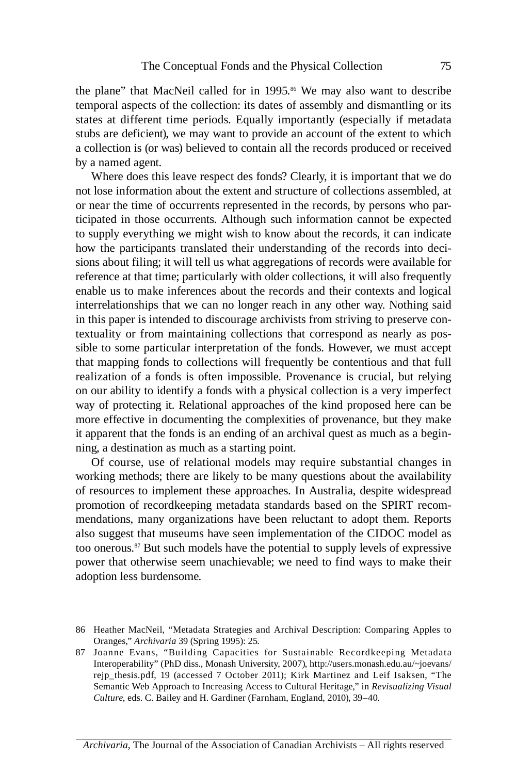the plane" that MacNeil called for in 1995.<sup>86</sup> We may also want to describe states at different time periods. Equally importantly (especially if metadata temporal aspects of the collection: its dates of assembly and dismantling or its stubs are deficient), we may want to provide an account of the extent to which a collection is (or was) believed to contain all the records produced or received by a named agent.

how the participants translated their understanding of the records into deci- textuality or from maintaining collections that correspond as nearly as pos- realization of a fonds is often impossible. Provenance is crucial, but relying Where does this leave respect des fonds? Clearly, it is important that we do not lose information about the extent and structure of collections assembled, at or near the time of occurrents represented in the records, by persons who participated in those occurrents. Although such information cannot be expected to supply everything we might wish to know about the records, it can indicate sions about filing; it will tell us what aggregations of records were available for reference at that time; particularly with older collections, it will also frequently enable us to make inferences about the records and their contexts and logical interrelationships that we can no longer reach in any other way. Nothing said in this paper is intended to discourage archivists from striving to preserve consible to some particular interpretation of the fonds. However, we must accept that mapping fonds to collections will frequently be contentious and that full on our ability to identify a fonds with a physical collection is a very imperfect way of protecting it. Relational approaches of the kind proposed here can be more effective in documenting the complexities of provenance, but they make it apparent that the fonds is an ending of an archival quest as much as a beginning, a destination as much as a starting point.

 Of course, use of relational models may require substantial changes in mendations, many organizations have been reluctant to adopt them. Reports working methods; there are likely to be many questions about the availability of resources to implement these approaches. In Australia, despite widespread promotion of recordkeeping metadata standards based on the SPIRT recomalso suggest that museums have seen implementation of the CIDOC model as too onerous.87 But such models have the potential to supply levels of expressive power that otherwise seem unachievable; we need to find ways to make their adoption less burdensome.

*Archivaria*, The Journal of the Association of Canadian Archivists – All rights reserved

 86 heather MacNeil, "Metadata Strategies and Archival Description: Comparing Apples to Oranges," *Archivaria* 39 (Spring 1995): 25.

 87 Joanne Evans, "Building Capacities for Sustainable Recordkeeping Metadata rejp\_thesis.pdf, 19 (accessed 7 October 2011); Kirk Martinez and Leif Isaksen, "The Interoperability" (PhD diss., Monash University, 2007), http://users.monash.edu.au/~joevans/ Semantic Web Approach to Increasing Access to Cultural heritage," in *Revisualizing Visual Culture*, eds. C. Bailey and h. Gardiner (Farnham, England, 2010), 39–40.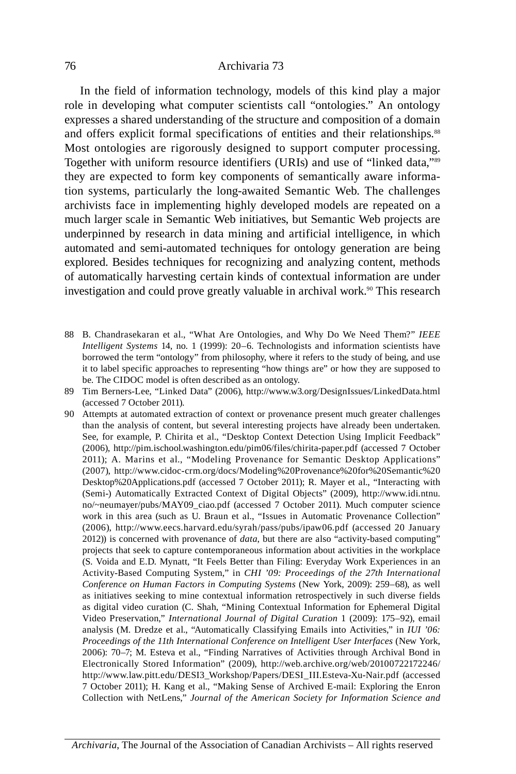In the field of information technology, models of this kind play a major role in developing what computer scientists call "ontologies." An ontology and offers explicit formal specifications of entities and their relationships.<sup>88</sup> Most ontologies are rigorously designed to support computer processing. they are expected to form key components of semantically aware informa- tion systems, particularly the long-awaited Semantic Web. The challenges archivists face in implementing highly developed models are repeated on a expresses a shared understanding of the structure and composition of a domain Together with uniform resource identifiers (URIs) and use of "linked data,"89 much larger scale in Semantic Web initiatives, but Semantic Web projects are underpinned by research in data mining and artificial intelligence, in which automated and semi-automated techniques for ontology generation are being explored. Besides techniques for recognizing and analyzing content, methods of automatically harvesting certain kinds of contextual information are under investigation and could prove greatly valuable in archival work.<sup>90</sup> This research

- 88 B. Chandrasekaran et al., "What Are Ontologies, and Why Do We Need Them?" *IEEE Intelligent Systems* 14, no. 1 (1999): 20–6. Technologists and information scientists have borrowed the term "ontology" from philosophy, where it refers to the study of being, and use it to label specific approaches to representing "how things are" or how they are supposed to be. The CIDOC model is often described as an ontology.
- 89 Tim Berners-Lee, "Linked Data" (2006), http://www.w3.org/DesignIssues/LinkedData.html (accessed 7 October 2011).
- See, for example, P. Chirita et al., "Desktop Context Detection Using Implicit Feedback" 2011); A. Marins et al., "Modeling Provenance for Semantic Desktop Applications" (Semi-) Automatically Extracted Context of Digital Objects" (2009), http://www.idi.ntnu. no/~neumayer/pubs/MAY09\_ciao.pdf (accessed 7 October 2011). Much computer science work in this area (such as U. Braun et al., "Issues in Automatic Provenance Collection" (2006), http://www.eecs.harvard.edu/syrah/pass/pubs/ipaw06.pdf (accessed 20 January Activity-Based Computing System," in *CHI '09: Proceedings of the 27th International*  video Preservation," *International Journal of Digital Curation* 1 (2009): 175–92), email Electronically Stored Information" (2009), http://web.archive.org/web/20100722172246/ Collection with NetLens," *Journal of the American Society for Information Science and*  90 Attempts at automated extraction of context or provenance present much greater challenges than the analysis of content, but several interesting projects have already been undertaken. (2006), http://pim.ischool.washington.edu/pim06/files/chirita-paper.pdf (accessed 7 October (2007), http://www.cidoc-crm.org/docs/Modeling%20Provenance%20for%20Semantic%20 Desktop%20Applications.pdf (accessed 7 October 2011); R. Mayer et al., "Interacting with 2012)) is concerned with provenance of *data*, but there are also "activity-based computing" projects that seek to capture contemporaneous information about activities in the workplace (S. voida and E.D. Mynatt, "It Feels Better than Filing: Everyday Work Experiences in an *Conference on Human Factors in Computing Systems* (New York, 2009): 259–68), as well as initiatives seeking to mine contextual information retrospectively in such diverse fields as digital video curation (C. Shah, "Mining Contextual Information for Ephemeral Digital analysis (M. Dredze et al., "Automatically Classifying Emails into Activities," in *IUI '06: Proceedings of the 11th International Conference on Intelligent User Interfaces* (New York, 2006): 70–7; M. Esteva et al., "Finding Narratives of Activities through Archival Bond in http://www.law.pitt.edu/DESI3\_Workshop/Papers/DESI\_III.Esteva-Xu-Nair.pdf (accessed 7 October 2011); h. Kang et al., "Making Sense of Archived E-mail: Exploring the Enron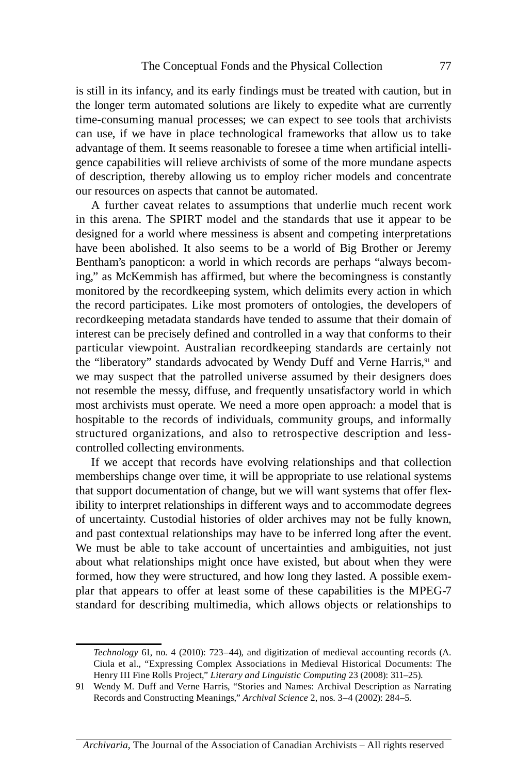can use, if we have in place technological frameworks that allow us to take is still in its infancy, and its early findings must be treated with caution, but in the longer term automated solutions are likely to expedite what are currently time-consuming manual processes; we can expect to see tools that archivists advantage of them. It seems reasonable to foresee a time when artificial intelligence capabilities will relieve archivists of some of the more mundane aspects of description, thereby allowing us to employ richer models and concentrate our resources on aspects that cannot be automated.

 A further caveat relates to assumptions that underlie much recent work in this arena. The SPIRT model and the standards that use it appear to be have been abolished. It also seems to be a world of Big Brother or Jeremy particular viewpoint. Australian recordkeeping standards are certainly not we may suspect that the patrolled universe assumed by their designers does hospitable to the records of individuals, community groups, and informally structured organizations, and also to retrospective description and lessdesigned for a world where messiness is absent and competing interpretations Bentham's panopticon: a world in which records are perhaps "always becoming," as McKemmish has affirmed, but where the becomingness is constantly monitored by the recordkeeping system, which delimits every action in which the record participates. Like most promoters of ontologies, the developers of recordkeeping metadata standards have tended to assume that their domain of interest can be precisely defined and controlled in a way that conforms to their the "liberatory" standards advocated by Wendy Duff and Verne Harris,<sup>91</sup> and not resemble the messy, diffuse, and frequently unsatisfactory world in which most archivists must operate. We need a more open approach: a model that is controlled collecting environments.

 If we accept that records have evolving relationships and that collection We must be able to take account of uncertainties and ambiguities, not just plar that appears to offer at least some of these capabilities is the MPEG-7 standard for describing multimedia, which allows objects or relationships to memberships change over time, it will be appropriate to use relational systems that support documentation of change, but we will want systems that offer flexibility to interpret relationships in different ways and to accommodate degrees of uncertainty. Custodial histories of older archives may not be fully known, and past contextual relationships may have to be inferred long after the event. about what relationships might once have existed, but about when they were formed, how they were structured, and how long they lasted. A possible exem-

 Ciula et al., "Expressing Complex Associations in Medieval historical Documents: The *Technology* 61, no. 4 (2010): 723–44), and digitization of medieval accounting records (A. henry III Fine Rolls Project," *Literary and Linguistic Computing* 23 (2008): 311–25).

<sup>91</sup> Wendy M. Duff and verne harris, "Stories and Names: Archival Description as Narrating Records and Constructing Meanings," *Archival Science* 2, nos. 3–4 (2002): 284–5.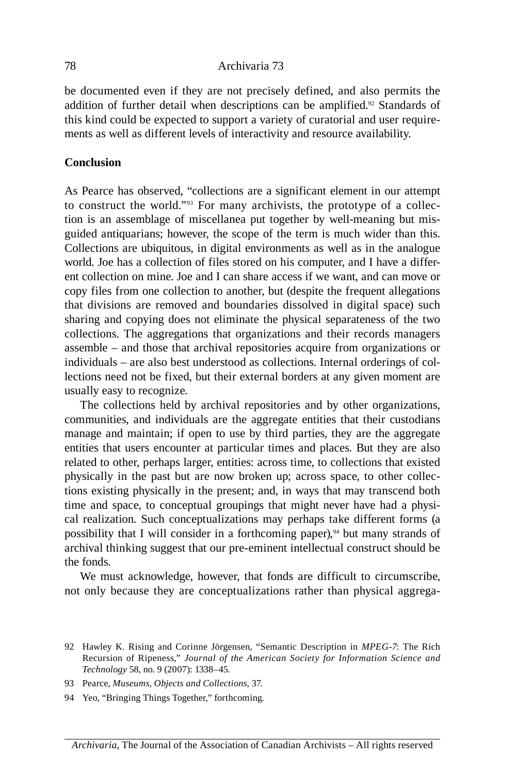be documented even if they are not precisely defined, and also permits the addition of further detail when descriptions can be amplified.<sup>92</sup> Standards of this kind could be expected to support a variety of curatorial and user requirements as well as different levels of interactivity and resource availability.

## **Conclusion**

 to construct the world."93 For many archivists, the prototype of a collec- tion is an assemblage of miscellanea put together by well-meaning but mis- that divisions are removed and boundaries dissolved in digital space) such collections. The aggregations that organizations and their records managers As Pearce has observed, "collections are a significant element in our attempt guided antiquarians; however, the scope of the term is much wider than this. Collections are ubiquitous, in digital environments as well as in the analogue world. Joe has a collection of files stored on his computer, and I have a different collection on mine. Joe and I can share access if we want, and can move or copy files from one collection to another, but (despite the frequent allegations sharing and copying does not eliminate the physical separateness of the two assemble – and those that archival repositories acquire from organizations or individuals – are also best understood as collections. Internal orderings of collections need not be fixed, but their external borders at any given moment are usually easy to recognize.

 The collections held by archival repositories and by other organizations, communities, and individuals are the aggregate entities that their custodians physically in the past but are now broken up; across space, to other collec- time and space, to conceptual groupings that might never have had a physi- cal realization. Such conceptualizations may perhaps take different forms (a manage and maintain; if open to use by third parties, they are the aggregate entities that users encounter at particular times and places. But they are also related to other, perhaps larger, entities: across time, to collections that existed tions existing physically in the present; and, in ways that may transcend both possibility that I will consider in a forthcoming paper), $94$  but many strands of archival thinking suggest that our pre-eminent intellectual construct should be the fonds.

 We must acknowledge, however, that fonds are difficult to circumscribe, not only because they are conceptualizations rather than physical aggrega-

- 93 Pearce, *Museums, Objects and Collections*, 37.
- 94 Yeo, "Bringing Things Together," forthcoming.

 92 hawley K. Rising and Corinne Jörgensen, "Semantic Description in *MPEG-7*: The Rich Recursion of Ripeness," *Journal of the American Society for Information Science and Technology* 58, no. 9 (2007): 1338–45.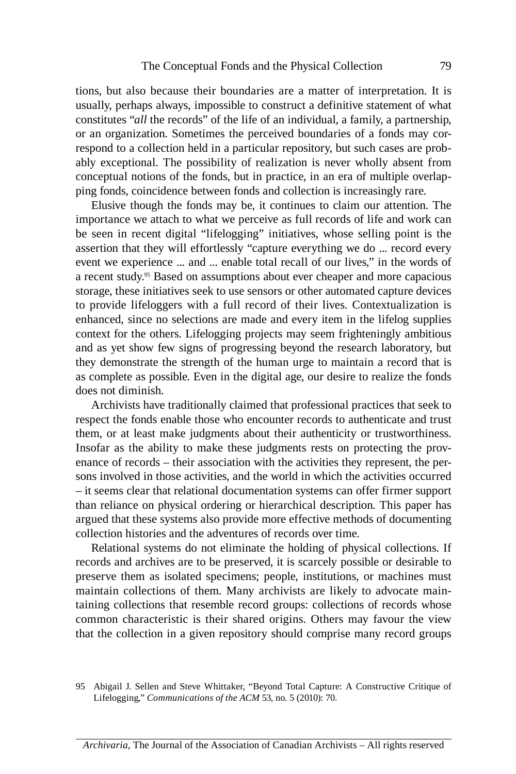tions, but also because their boundaries are a matter of interpretation. It is ably exceptional. The possibility of realization is never wholly absent from usually, perhaps always, impossible to construct a definitive statement of what constitutes "*all* the records" of the life of an individual, a family, a partnership, or an organization. Sometimes the perceived boundaries of a fonds may correspond to a collection held in a particular repository, but such cases are probconceptual notions of the fonds, but in practice, in an era of multiple overlapping fonds, coincidence between fonds and collection is increasingly rare.

 be seen in recent digital "lifelogging" initiatives, whose selling point is the to provide lifeloggers with a full record of their lives. Contextualization is Elusive though the fonds may be, it continues to claim our attention. The importance we attach to what we perceive as full records of life and work can assertion that they will effortlessly "capture everything we do ... record every event we experience ... and ... enable total recall of our lives," in the words of a recent study.<sup>95</sup> Based on assumptions about ever cheaper and more capacious storage, these initiatives seek to use sensors or other automated capture devices enhanced, since no selections are made and every item in the lifelog supplies context for the others. Lifelogging projects may seem frighteningly ambitious and as yet show few signs of progressing beyond the research laboratory, but they demonstrate the strength of the human urge to maintain a record that is as complete as possible. Even in the digital age, our desire to realize the fonds does not diminish.

 Insofar as the ability to make these judgments rests on protecting the prov-Archivists have traditionally claimed that professional practices that seek to respect the fonds enable those who encounter records to authenticate and trust them, or at least make judgments about their authenticity or trustworthiness. enance of records – their association with the activities they represent, the persons involved in those activities, and the world in which the activities occurred – it seems clear that relational documentation systems can offer firmer support than reliance on physical ordering or hierarchical description. This paper has argued that these systems also provide more effective methods of documenting collection histories and the adventures of records over time.

 preserve them as isolated specimens; people, institutions, or machines must maintain collections of them. Many archivists are likely to advocate main- common characteristic is their shared origins. Others may favour the view Relational systems do not eliminate the holding of physical collections. If records and archives are to be preserved, it is scarcely possible or desirable to taining collections that resemble record groups: collections of records whose that the collection in a given repository should comprise many record groups

<sup>95</sup> Abigail J. Sellen and Steve Whittaker, "Beyond Total Capture: A Constructive Critique of Lifelogging," *Communications of the ACM* 53, no. 5 (2010): 70.